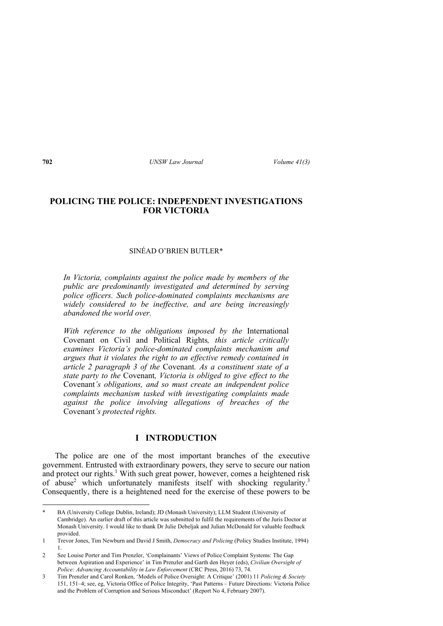## **POLICING THE POLICE: INDEPENDENT INVESTIGATIONS FOR VICTORIA**

## SINÉAD O'BRIEN BUTLER\*

*In Victoria, complaints against the police made by members of the public are predominantly investigated and determined by serving police officers. Such police-dominated complaints mechanisms are widely considered to be ineffective, and are being increasingly abandoned the world over.* 

*With reference to the obligations imposed by the* International Covenant on Civil and Political Rights*, this article critically examines Victoria's police-dominated complaints mechanism and argues that it violates the right to an effective remedy contained in article 2 paragraph 3 of the* Covenant*. As a constituent state of a state party to the* Covenant*, Victoria is obliged to give effect to the*  Covenant*'s obligations, and so must create an independent police complaints mechanism tasked with investigating complaints made against the police involving allegations of breaches of the*  Covenant*'s protected rights.* 

## **I INTRODUCTION**

The police are one of the most important branches of the executive government. Entrusted with extraordinary powers, they serve to secure our nation and protect our rights.<sup>1</sup> With such great power, however, comes a heightened risk of abuse<sup>2</sup> which unfortunately manifests itself with shocking regularity.<sup>3</sup> Consequently, there is a heightened need for the exercise of these powers to be

BA (University College Dublin, Ireland); JD (Monash University); LLM Student (University of Cambridge). An earlier draft of this article was submitted to fulfil the requirements of the Juris Doctor at Monash University. I would like to thank Dr Julie Debeljak and Julian McDonald for valuable feedback provided.

<sup>1</sup> Trevor Jones, Tim Newburn and David J Smith, *Democracy and Policing* (Policy Studies Institute, 1994) 1.

<sup>2</sup> See Louise Porter and Tim Prenzler, 'Complainants' Views of Police Complaint Systems: The Gap between Aspiration and Experience' in Tim Prenzler and Garth den Heyer (eds), *Civilian Oversight of Police: Advancing Accountability in Law Enforcement* (CRC Press, 2016) 73, 74.

<sup>3</sup> Tim Prenzler and Carol Ronken, 'Models of Police Oversight: A Critique' (2001) 11 *Policing & Society* 151, 151–4; see, eg, Victoria Office of Police Integrity, 'Past Patterns – Future Directions: Victoria Police and the Problem of Corruption and Serious Misconduct' (Report No 4, February 2007).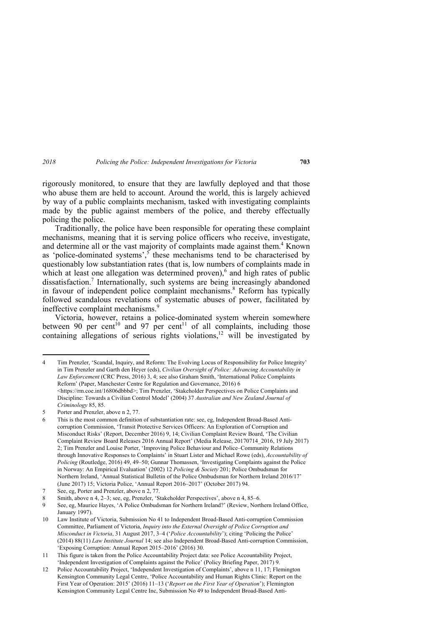rigorously monitored, to ensure that they are lawfully deployed and that those who abuse them are held to account. Around the world, this is largely achieved by way of a public complaints mechanism, tasked with investigating complaints made by the public against members of the police, and thereby effectually policing the police.

Traditionally, the police have been responsible for operating these complaint mechanisms, meaning that it is serving police officers who receive, investigate, and determine all or the vast majority of complaints made against them.<sup>4</sup> Known as 'police-dominated systems', $\frac{5}{3}$  these mechanisms tend to be characterised by questionably low substantiation rates (that is, low numbers of complaints made in which at least one allegation was determined proven), $6$  and high rates of public dissatisfaction.<sup>7</sup> Internationally, such systems are being increasingly abandoned in favour of independent police complaint mechanisms.<sup>8</sup> Reform has typically followed scandalous revelations of systematic abuses of power, facilitated by ineffective complaint mechanisms.<sup>9</sup>

Victoria, however, retains a police-dominated system wherein somewhere between 90 per cent<sup>10</sup> and 97 per cent<sup>11</sup> of all complaints, including those containing allegations of serious rights violations,<sup>12</sup> will be investigated by

<sup>4</sup> Tim Prenzler, 'Scandal, Inquiry, and Reform: The Evolving Locus of Responsibility for Police Integrity' in Tim Prenzler and Garth den Heyer (eds), *Civilian Oversight of Police: Advancing Accountability in Law Enforcement* (CRC Press, 2016) 3, 4; see also Graham Smith, 'International Police Complaints Reform' (Paper, Manchester Centre for Regulation and Governance, 2016) 6  $\leq$ https://rm.coe.int/16806dbbbd>: Tim Prenzler, 'Stakeholder Perspectives on Police Complaints and Discipline: Towards a Civilian Control Model' (2004) 37 *Australian and New Zealand Journal of Criminology* 85, 85.

<sup>5</sup> Porter and Prenzler, above n 2, 77.

<sup>6</sup> This is the most common definition of substantiation rate: see, eg, Independent Broad-Based Anticorruption Commission, 'Transit Protective Services Officers: An Exploration of Corruption and Misconduct Risks' (Report, December 2016) 9, 14; Civilian Complaint Review Board, 'The Civilian Complaint Review Board Releases 2016 Annual Report' (Media Release, 20170714\_2016, 19 July 2017) 2; Tim Prenzler and Louise Porter, 'Improving Police Behaviour and Police–Community Relations through Innovative Responses to Complaints' in Stuart Lister and Michael Rowe (eds), *Accountability of Policing* (Routledge, 2016) 49, 49–50; Gunnar Thomassen, 'Investigating Complaints against the Police in Norway: An Empirical Evaluation' (2002) 12 *Policing & Society* 201; Police Ombudsman for Northern Ireland, 'Annual Statistical Bulletin of the Police Ombudsman for Northern Ireland 2016/17' (June 2017) 15; Victoria Police, 'Annual Report 2016–2017' (October 2017) 94.

<sup>7</sup> See, eg, Porter and Prenzler, above n 2, 77.

<sup>8</sup> Smith, above n 4, 2–3; see, eg, Prenzler, 'Stakeholder Perspectives', above n 4, 85–6.

<sup>9</sup> See, eg, Maurice Hayes, 'A Police Ombudsman for Northern Ireland?' (Review, Northern Ireland Office, January 1997).

<sup>10</sup> Law Institute of Victoria, Submission No 41 to Independent Broad-Based Anti-corruption Commission Committee, Parliament of Victoria, *Inquiry into the External Oversight of Police Corruption and Misconduct in Victoria*, 31 August 2017, 3–4 ('*Police Accountability*'); citing 'Policing the Police' (2014) 88(11) *Law Institute Journal* 14; see also Independent Broad-Based Anti-corruption Commission, 'Exposing Corruption: Annual Report 2015–2016' (2016) 30.

<sup>11</sup> This figure is taken from the Police Accountability Project data: see Police Accountability Project, 'Independent Investigation of Complaints against the Police' (Policy Briefing Paper, 2017) 9.

<sup>12</sup> Police Accountability Project, 'Independent Investigation of Complaints', above n 11, 17; Flemington Kensington Community Legal Centre, 'Police Accountability and Human Rights Clinic: Report on the First Year of Operation: 2015' (2016) 11–13 ('*Report on the First Year of Operation*'); Flemington Kensington Community Legal Centre Inc, Submission No 49 to Independent Broad-Based Anti-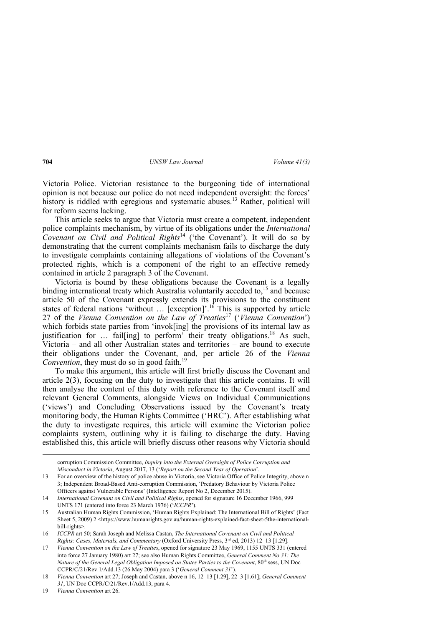Victoria Police. Victorian resistance to the burgeoning tide of international opinion is not because our police do not need independent oversight: the forces' history is riddled with egregious and systematic abuses.<sup>13</sup> Rather, political will for reform seems lacking.

This article seeks to argue that Victoria must create a competent, independent police complaints mechanism, by virtue of its obligations under the *International Covenant on Civil and Political Rights*14 ('the Covenant'). It will do so by demonstrating that the current complaints mechanism fails to discharge the duty to investigate complaints containing allegations of violations of the Covenant's protected rights, which is a component of the right to an effective remedy contained in article 2 paragraph 3 of the Covenant.

Victoria is bound by these obligations because the Covenant is a legally binding international treaty which Australia voluntarily acceded to, $15$  and because article 50 of the Covenant expressly extends its provisions to the constituent states of federal nations 'without  $\ldots$  [exception]'.<sup>16</sup> This is supported by article 27 of the *Vienna Convention on the Law of Treaties*17 ('*Vienna Convention*') which forbids state parties from 'invok[ing] the provisions of its internal law as justification for  $\ldots$  fail[ing] to perform their treaty obligations.<sup>18</sup> As such, Victoria – and all other Australian states and territories – are bound to execute their obligations under the Covenant, and, per article 26 of the *Vienna Convention*, they must do so in good faith.<sup>19</sup>

To make this argument, this article will first briefly discuss the Covenant and article 2(3), focusing on the duty to investigate that this article contains. It will then analyse the content of this duty with reference to the Covenant itself and relevant General Comments, alongside Views on Individual Communications ('views') and Concluding Observations issued by the Covenant's treaty monitoring body, the Human Rights Committee ('HRC'). After establishing what the duty to investigate requires, this article will examine the Victorian police complaints system, outlining why it is failing to discharge the duty. Having established this, this article will briefly discuss other reasons why Victoria should

corruption Commission Committee, *Inquiry into the External Oversight of Police Corruption and Misconduct in Victoria*, August 2017, 13 ('*Report on the Second Year of Operation*'.

<sup>13</sup> For an overview of the history of police abuse in Victoria, see Victoria Office of Police Integrity, above n 3; Independent Broad-Based Anti-corruption Commission, 'Predatory Behaviour by Victoria Police Officers against Vulnerable Persons' (Intelligence Report No 2, December 2015).

<sup>14</sup> *International Covenant on Civil and Political Rights*, opened for signature 16 December 1966, 999 UNTS 171 (entered into force 23 March 1976) ('*ICCPR*').

<sup>15</sup> Australian Human Rights Commission, 'Human Rights Explained: The International Bill of Rights' (Fact Sheet 5, 2009) 2 <https://www.humanrights.gov.au/human-rights-explained-fact-sheet-5the-internationalbill-rights>.

<sup>16</sup> *ICCPR* art 50; Sarah Joseph and Melissa Castan, *The International Covenant on Civil and Political Rights: Cases, Materials, and Commentary* (Oxford University Press, 3rd ed, 2013) 12–13 [1.29].

<sup>17</sup> *Vienna Convention on the Law of Treaties*, opened for signature 23 May 1969, 1155 UNTS 331 (entered into force 27 January 1980) art 27; see also Human Rights Committee, *General Comment No 31: The Nature of the General Legal Obligation Imposed on States Parties to the Covenant*, 80<sup>th</sup> sess, UN Doc CCPR/C/21/Rev.1/Add.13 (26 May 2004) para 3 ('*General Comment 31*').

<sup>18</sup> *Vienna Convention* art 27; Joseph and Castan, above n 16, 12–13 [1.29], 22–3 [1.61]; *General Comment 31*, UN Doc CCPR/C/21/Rev.1/Add.13, para 4.

<sup>19</sup> *Vienna Convention* art 26.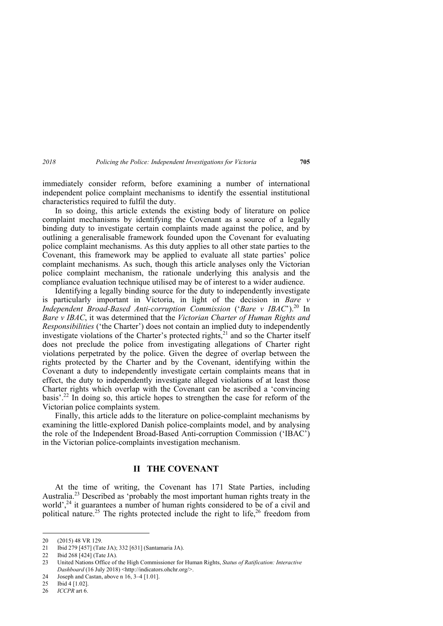immediately consider reform, before examining a number of international independent police complaint mechanisms to identify the essential institutional characteristics required to fulfil the duty.

In so doing, this article extends the existing body of literature on police complaint mechanisms by identifying the Covenant as a source of a legally binding duty to investigate certain complaints made against the police, and by outlining a generalisable framework founded upon the Covenant for evaluating police complaint mechanisms. As this duty applies to all other state parties to the Covenant, this framework may be applied to evaluate all state parties' police complaint mechanisms. As such, though this article analyses only the Victorian police complaint mechanism, the rationale underlying this analysis and the compliance evaluation technique utilised may be of interest to a wider audience.

Identifying a legally binding source for the duty to independently investigate is particularly important in Victoria, in light of the decision in *Bare v Independent Broad-Based Anti-corruption Commission ('Bare v IBAC')*.<sup>20</sup> In *Bare v IBAC*, it was determined that the *Victorian Charter of Human Rights and Responsibilities* ('the Charter') does not contain an implied duty to independently investigate violations of the Charter's protected rights, $21$  and so the Charter itself does not preclude the police from investigating allegations of Charter right violations perpetrated by the police. Given the degree of overlap between the rights protected by the Charter and by the Covenant, identifying within the Covenant a duty to independently investigate certain complaints means that in effect, the duty to independently investigate alleged violations of at least those Charter rights which overlap with the Covenant can be ascribed a 'convincing basis'.22 In doing so, this article hopes to strengthen the case for reform of the Victorian police complaints system.

Finally, this article adds to the literature on police-complaint mechanisms by examining the little-explored Danish police-complaints model, and by analysing the role of the Independent Broad-Based Anti-corruption Commission ('IBAC') in the Victorian police-complaints investigation mechanism.

## **II THE COVENANT**

At the time of writing, the Covenant has 171 State Parties, including Australia.23 Described as 'probably the most important human rights treaty in the world',<sup>24</sup> it guarantees a number of human rights considered to be of a civil and political nature.<sup>25</sup> The rights protected include the right to life,<sup>26</sup> freedom from

<sup>20 (2015) 48</sup> VR 129.

<sup>21</sup> Ibid 279 [457] (Tate JA); 332 [631] (Santamaria JA).

<sup>22</sup> Ibid 268 [424] (Tate JA).

<sup>23</sup> United Nations Office of the High Commissioner for Human Rights, *Status of Ratification: Interactive Dashboard* (16 July 2018) <http://indicators.ohchr.org/>.

<sup>24</sup> Joseph and Castan, above n 16, 3–4 [1.01].

<sup>25</sup> Ibid 4 [1.02].

<sup>26</sup> *ICCPR* art 6.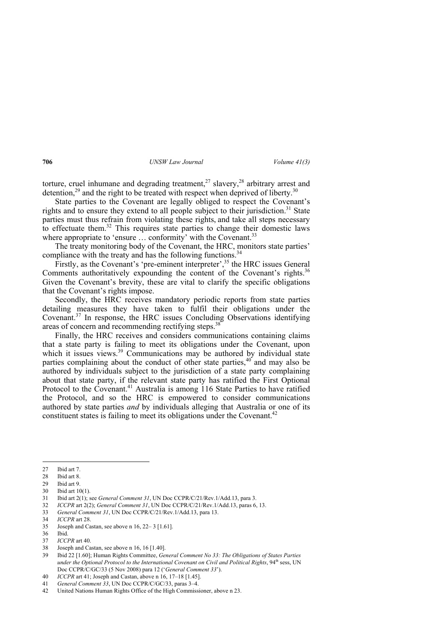torture, cruel inhumane and degrading treatment,<sup>27</sup> slavery,<sup>28</sup> arbitrary arrest and detention,<sup>29</sup> and the right to be treated with respect when deprived of liberty.<sup>30</sup>

State parties to the Covenant are legally obliged to respect the Covenant's rights and to ensure they extend to all people subject to their jurisdiction.<sup>31</sup> State parties must thus refrain from violating these rights, and take all steps necessary to effectuate them.<sup>32</sup> This requires state parties to change their domestic laws where appropriate to 'ensure ... conformity' with the Covenant.<sup>33</sup>

The treaty monitoring body of the Covenant, the HRC, monitors state parties' compliance with the treaty and has the following functions.<sup>34</sup>

Firstly, as the Covenant's 'pre-eminent interpreter',<sup>35</sup> the HRC issues General Comments authoritatively expounding the content of the Covenant's rights.<sup>36</sup> Given the Covenant's brevity, these are vital to clarify the specific obligations that the Covenant's rights impose.

Secondly, the HRC receives mandatory periodic reports from state parties detailing measures they have taken to fulfil their obligations under the Covenant.37 In response, the HRC issues Concluding Observations identifying areas of concern and recommending rectifying steps.<sup>38</sup>

Finally, the HRC receives and considers communications containing claims that a state party is failing to meet its obligations under the Covenant, upon which it issues views.<sup>39</sup> Communications may be authored by individual state parties complaining about the conduct of other state parties, $40^{\circ}$  and may also be authored by individuals subject to the jurisdiction of a state party complaining about that state party, if the relevant state party has ratified the First Optional Protocol to the Covenant.<sup>41</sup> Australia is among 116 State Parties to have ratified the Protocol, and so the HRC is empowered to consider communications authored by state parties *and* by individuals alleging that Australia or one of its constituent states is failing to meet its obligations under the Covenant.<sup>42</sup>

<sup>27</sup> Ibid art 7.

<sup>28</sup> Ibid art 8.<br>29 Ibid art 9.

Ibid art 9.

<sup>30</sup> Ibid art 10(1).

<sup>31</sup> Ibid art 2(1); see *General Comment 31*, UN Doc CCPR/C/21/Rev.1/Add.13, para 3.

<sup>32</sup> *ICCPR* art 2(2); *General Comment 31*, UN Doc CCPR/C/21/Rev.1/Add.13, paras 6, 13.

<sup>33</sup> *General Comment 31*, UN Doc CCPR/C/21/Rev.1/Add.13, para 13.

<sup>34</sup> *ICCPR* art 28.

<sup>35</sup> Joseph and Castan, see above n 16, 22– 3 [1.61].

<sup>36</sup> Ibid.

<sup>37</sup> *ICCPR* art 40.

<sup>38</sup> Joseph and Castan, see above n 16, 16 [1.40].

<sup>39</sup> Ibid 22 [1.60]; Human Rights Committee, *General Comment No 33: The Obligations of States Parties under the Optional Protocol to the International Covenant on Civil and Political Rights*, 94<sup>th</sup> sess, UN Doc CCPR/C/GC/33 (5 Nov 2008) para 12 ('*General Comment 33*').

<sup>40</sup> *ICCPR* art 41; Joseph and Castan, above n 16, 17–18 [1.45].

<sup>41</sup> *General Comment 33*, UN Doc CCPR/C/GC/33, paras 3–4.

<sup>42</sup> United Nations Human Rights Office of the High Commissioner, above n 23.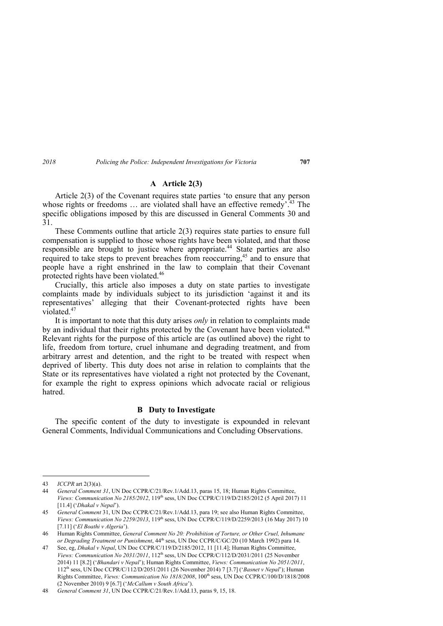## **A Article 2(3)**

Article 2(3) of the Covenant requires state parties 'to ensure that any person whose rights or freedoms  $\ldots$  are violated shall have an effective remedy<sup> $2,43$ </sup>. The specific obligations imposed by this are discussed in General Comments 30 and 31.

These Comments outline that article 2(3) requires state parties to ensure full compensation is supplied to those whose rights have been violated, and that those responsible are brought to justice where appropriate.<sup>44</sup> State parties are also required to take steps to prevent breaches from reoccurring.<sup>45</sup> and to ensure that people have a right enshrined in the law to complain that their Covenant protected rights have been violated.<sup>46</sup>

Crucially, this article also imposes a duty on state parties to investigate complaints made by individuals subject to its jurisdiction 'against it and its representatives' alleging that their Covenant-protected rights have been violated  $47$ 

It is important to note that this duty arises *only* in relation to complaints made by an individual that their rights protected by the Covenant have been violated.<sup>48</sup> Relevant rights for the purpose of this article are (as outlined above) the right to life, freedom from torture, cruel inhumane and degrading treatment, and from arbitrary arrest and detention, and the right to be treated with respect when deprived of liberty. This duty does not arise in relation to complaints that the State or its representatives have violated a right not protected by the Covenant, for example the right to express opinions which advocate racial or religious hatred.

#### **B Duty to Investigate**

The specific content of the duty to investigate is expounded in relevant General Comments, Individual Communications and Concluding Observations.

<sup>43</sup> *ICCPR* art 2(3)(a).

<sup>44</sup> *General Comment 31*, UN Doc CCPR/C/21/Rev.1/Add.13, paras 15, 18; Human Rights Committee, *Views: Communication No 2185/2012*, 119<sup>th</sup> sess, UN Doc CCPR/C/119/D/2185/2012 (5 April 2017) 11 [11.4] ('*Dhakal v Nepal*').

<sup>45</sup> *General Comment* 31, UN Doc CCPR/C/21/Rev.1/Add.13, para 19; see also Human Rights Committee, *Views: Communication No 2259/2013*, 119<sup>th</sup> sess, UN Doc CCPR/C/119/D/2259/2013 (16 May 2017) 10 [7.11] ('*El Boathi v Algeria*').

<sup>46</sup> Human Rights Committee, *General Comment No 20: Prohibition of Torture, or Other Cruel, Inhumane or Degrading Treatment or Punishment*, 44th sess, UN Doc CCPR/C/GC/20 (10 March 1992) para 14.

<sup>47</sup> See, eg, *Dhakal v Nepal*, UN Doc CCPR/C/119/D/2185/2012, 11 [11.4]; Human Rights Committee, *Views: Communication No 2031/2011*, 112th sess, UN Doc CCPR/C/112/D/2031/2011 (25 November 2014) 11 [8.2] ('*Bhandari v Nepal*'); Human Rights Committee, *Views: Communication No 2051/2011*, 112th sess, UN Doc CCPR/C/112/D/2051/2011 (26 November 2014) 7 [3.7] ('*Basnet v Nepal*'); Human Rights Committee, *Views: Communication No 1818/2008*, 100<sup>th</sup> sess, UN Doc CCPR/C/100/D/1818/2008 (2 November 2010) 9 [6.7] ('*McCallum v South Africa*').

<sup>48</sup> *General Comment 31*, UN Doc CCPR/C/21/Rev.1/Add.13, paras 9, 15, 18.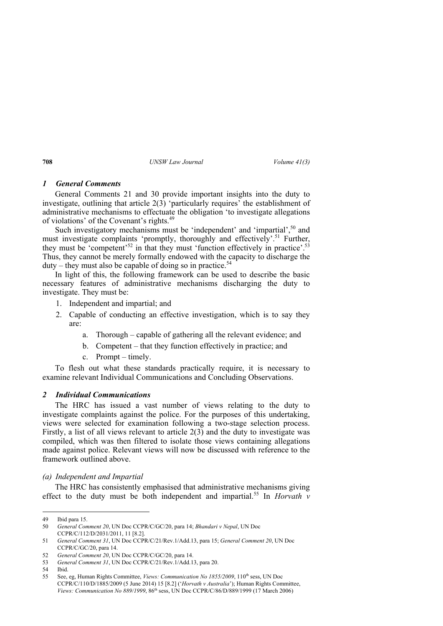## *1 General Comments*

General Comments 21 and 30 provide important insights into the duty to investigate, outlining that article 2(3) 'particularly requires' the establishment of administrative mechanisms to effectuate the obligation 'to investigate allegations of violations' of the Covenant's rights.<sup>49</sup>

Such investigatory mechanisms must be 'independent' and 'impartial',<sup>50</sup> and must investigate complaints 'promptly, thoroughly and effectively'.<sup>51</sup> Further, they must be 'competent'<sup>52</sup> in that they must 'function effectively in practice'.<sup>53</sup> Thus, they cannot be merely formally endowed with the capacity to discharge the  $duty$  – they must also be capable of doing so in practice.<sup>54</sup>

In light of this, the following framework can be used to describe the basic necessary features of administrative mechanisms discharging the duty to investigate. They must be:

- 1. Independent and impartial; and
- 2. Capable of conducting an effective investigation, which is to say they are:
	- a. Thorough capable of gathering all the relevant evidence; and
	- b. Competent that they function effectively in practice; and
	- c. Prompt timely.

To flesh out what these standards practically require, it is necessary to examine relevant Individual Communications and Concluding Observations.

## *2 Individual Communications*

The HRC has issued a vast number of views relating to the duty to investigate complaints against the police. For the purposes of this undertaking, views were selected for examination following a two-stage selection process. Firstly, a list of all views relevant to article 2(3) and the duty to investigate was compiled, which was then filtered to isolate those views containing allegations made against police. Relevant views will now be discussed with reference to the framework outlined above.

## *(a) Independent and Impartial*

The HRC has consistently emphasised that administrative mechanisms giving effect to the duty must be both independent and impartial.<sup>55</sup> In *Horvath v* 

<sup>49</sup> Ibid para 15.

<sup>50</sup> *General Comment 20*, UN Doc CCPR/C/GC/20, para 14; *Bhandari v Nepal*, UN Doc CCPR/C/112/D/2031/2011, 11 [8.2].

<sup>51</sup> *General Comment 31*, UN Doc CCPR/C/21/Rev.1/Add.13, para 15; *General Comment 20*, UN Doc CCPR/C/GC/20, para 14.

<sup>52</sup> *General Comment 20*, UN Doc CCPR/C/GC/20, para 14.

<sup>53</sup> *General Comment 31*, UN Doc CCPR/C/21/Rev.1/Add.13, para 20.

<sup>54</sup> Ibid.

<sup>55</sup> See, eg, Human Rights Committee, *Views: Communication No 1855/2009*, 110th sess, UN Doc CCPR/C/110/D/1885/2009 (5 June 2014) 15 [8.2] ('*Horvath v Australia*'); Human Rights Committee, *Views: Communication No 889/1999*, 86th sess, UN Doc CCPR/C/86/D/889/1999 (17 March 2006)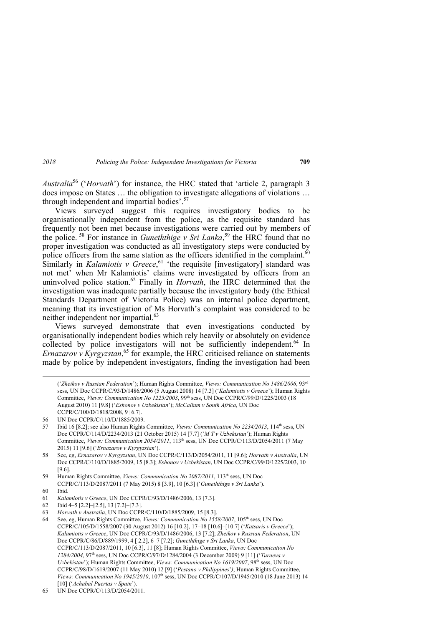*Australia*<sup>56</sup> ('*Horvath*') for instance, the HRC stated that 'article 2, paragraph 3 does impose on States … the obligation to investigate allegations of violations … through independent and impartial bodies'.<sup>57</sup>

Views surveyed suggest this requires investigatory bodies to be organisationally independent from the police, as the requisite standard has frequently not been met because investigations were carried out by members of the police. 58 For instance in *Guneththige v Sri Lanka*, 59 the HRC found that no proper investigation was conducted as all investigatory steps were conducted by police officers from the same station as the officers identified in the complaint. $60$ Similarly in *Kalamiotis v Greece*, <sup>61</sup> 'the requisite [investigatory] standard was not met' when Mr Kalamiotis' claims were investigated by officers from an uninvolved police station.62 Finally in *Horvath*, the HRC determined that the investigation was inadequate partially because the investigatory body (the Ethical Standards Department of Victoria Police) was an internal police department, meaning that its investigation of Ms Horvath's complaint was considered to be neither independent nor impartial.<sup>63</sup>

Views surveyed demonstrate that even investigations conducted by organisationally independent bodies which rely heavily or absolutely on evidence collected by police investigators will not be sufficiently independent.<sup>64</sup> In *Ernazarov v Kyrgyzstan*, <sup>65</sup> for example, the HRC criticised reliance on statements made by police by independent investigators, finding the investigation had been

 <sup>(&#</sup>x27;*Zheikov v Russian Federation*'); Human Rights Committee, *Views: Communication No 1486/2006*, 93rd sess, UN Doc CCPR/C/93/D/1486/2006 (5 August 2008) 14 [7.3] ('*Kalamiotis v Greece*'); Human Rights Committee, *Views: Communication No 1225/2003*, 99th sess, UN Doc CCPR/C/99/D/1225/2003 (18 August 2010) 11 [9.8] ('*Eshonov v Uzbekistan*'); *McCallum v South Africa*, UN Doc CCPR/C/100/D/1818/2008, 9 [6.7].

<sup>56</sup> UN Doc CCPR/C/110/D/1885/2009.

<sup>57</sup> Ibid 16 [8.2]; see also Human Rights Committee, *Views: Communication No 2234/2013*, 114th sess, UN Doc CCPR/C/114/D/2234/2013 (21 October 2015) 14 [7.7] ('*M T v Uzbekistan*'); Human Rights Committee, *Views: Communication 2054/2011*, 113<sup>th</sup> sess, UN Doc CCPR/C/113/D/2054/2011 (7 May 2015) 11 [9.6] ('*Ernazarov v Kyrgyzstan*').

<sup>58</sup> See, eg, *Ernazarov v Kyrgyzstan*, UN Doc CCPR/C/113/D/2054/2011, 11 [9.6]; *Horvath v Australia*, UN Doc CCPR/C/110/D/1885/2009, 15 [8.3]; *Eshonov v Uzbekistan*, UN Doc CCPR/C/99/D/1225/2003, 10 [9.6].

<sup>59</sup> Human Rights Committee, *Views: Communication No 2087/2011*, 113th sess, UN Doc CCPR/C/113/D/2087/2011 (7 May 2015) 8 [3.9], 10 [6.3] ('*Guneththige v Sri Lanka*').

<sup>60</sup> Ibid.

<sup>61</sup> *Kalamiotis v Greece*, UN Doc CCPR/C/93/D/1486/2006, 13 [7.3].

<sup>62</sup> Ibid 4–5 [2.2]–[2.5], 13 [7.2]–[7.3].

<sup>63</sup> *Horvath v Australia*, UN Doc CCPR/C/110/D/1885/2009, 15 [8.3].

<sup>64</sup> See, eg, Human Rights Committee, *Views: Communication No 1558/2007*, 105th sess, UN Doc CCPR/C/105/D/1558/2007 (30 August 2012) 16 [10.2], 17–18 [10.6]–[10.7] ('*Katsaris v Greece*'); *Kalamiotis v Greece*, UN Doc CCPR/C/93/D/1486/2006, 13 [7.2]; *Zheikov v Russian Federation*, UN Doc CCPR/C/86/D/889/1999, 4 [ 2.2], 6–7 [7.2]; *Guneththige v Sri Lanka*, UN Doc CCPR/C/113/D/2087/2011, 10 [6.3], 11 [8]; Human Rights Committee, *Views: Communication No 1284/2004*, 97th sess, UN Doc CCPR/C/97/D/1284/2004 (3 December 2009) 9 [11] ('*Turaeva v Uzbekistan*'); Human Rights Committee, *Views: Communication No 1619/2007*, 98th sess, UN Doc CCPR/C/98/D/1619/2007 (11 May 2010) 12 [9] ('*Pestano v Philippines*'*)*; Human Rights Committee, *Views: Communication No 1945/2010*, 107th sess, UN Doc CCPR/C/107/D/1945/2010 (18 June 2013) 14 [10] ('*Achabal Puertas v Spain*').

<sup>65</sup> UN Doc CCPR/C/113/D/2054/2011.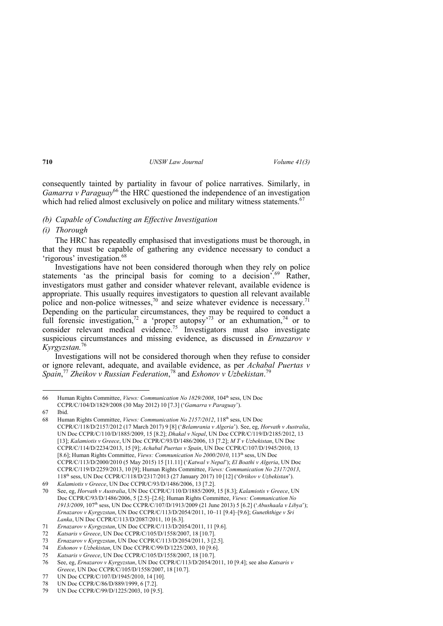consequently tainted by partiality in favour of police narratives. Similarly, in *Gamarra v Paraguay*<sup>66</sup> the HRC questioned the independence of an investigation which had relied almost exclusively on police and military witness statements.<sup>67</sup>

## *(b) Capable of Conducting an Effective Investigation*

## *(i) Thorough*

The HRC has repeatedly emphasised that investigations must be thorough, in that they must be capable of gathering any evidence necessary to conduct a 'rigorous' investigation.68

Investigations have not been considered thorough when they rely on police statements 'as the principal basis for coming to a decision'.<sup>69</sup> Rather, investigators must gather and consider whatever relevant, available evidence is appropriate. This usually requires investigators to question all relevant available police and non-police witnesses,<sup>70</sup> and seize whatever evidence is necessary.<sup>71</sup> Depending on the particular circumstances, they may be required to conduct a full forensic investigation,<sup>72</sup> a 'proper autopsy<sup>-73</sup> or an exhumation,<sup>74</sup> or to consider relevant medical evidence.<sup>75</sup> Investigators must also investigate suspicious circumstances and missing evidence, as discussed in *Ernazarov v Kyrgyzstan.*76

Investigations will not be considered thorough when they refuse to consider or ignore relevant, adequate, and available evidence, as per *Achabal Puertas v Spain*, <sup>77</sup> *Zheikov v Russian Federation*, 78 and *Eshonov v Uzbekistan*. 79

<sup>66</sup> Human Rights Committee, *Views: Communication No 1829/2008*, 104th sess, UN Doc CCPR/C/104/D/1829/2008 (30 May 2012) 10 [7.3] ('*Gamarra v Paraguay*').

<sup>67</sup> Ibid.

<sup>68</sup> Human Rights Committee, *Views: Communication No 2157/2012*, 118th sess, UN Doc CCPR/C/118/D/2157/2012 (17 March 2017) 9 [8] ('*Belamrania v Algeria*'). See, eg, *Horvath v Australia*, UN Doc CCPR/C/110/D/1885/2009, 15 [8.2]; *Dhakal v Nepal*, UN Doc CCPR/C/119/D/2185/2012, 13 [13]; *Kalamiotis v Greece*, UN Doc CCPR/C/93/D/1486/2006, 13 [7.2]; *M T v Uzbekistan*, UN Doc CCPR/C/114/D/2234/2013, 15 [9]; *Achabal Puertas v Spain*, UN Doc CCPR/C/107/D/1945/2010, 13 [8.6]; Human Rights Committee, *Views: Communication No 2000/2010*, 113<sup>th</sup> sess, UN Doc CCPR/C/113/D/2000/2010 (5 May 2015) 15 [11.11] ('*Katwal v Nepal*'); *El Boathi v Algeria*, UN Doc CCPR/C/119/D/2259/2013, 10 [9]; Human Rights Committee, *Views: Communication No 2317/2013*, 118th sess, UN Doc CCPR/C/118/D/2317/2013 (27 January 2017) 10 [12] ('*Ortikov v Uzbekistan*').

<sup>69</sup> *Kalamiotis v Greece*, UN Doc CCPR/C/93/D/1486/2006, 13 [7.2].

<sup>70</sup> See, eg, *Horvath v Australia*, UN Doc CCPR/C/110/D/1885/2009, 15 [8.3]; *Kalamiotis v Greece*, UN Doc CCPR/C/93/D/1486/2006, 5 [2.5]–[2.6]; Human Rights Committee, *Views: Communication No 1913/2009*, 107th sess, UN Doc CCPR/C/107/D/1913/2009 (21 June 2013) 5 [6.2] ('*Abushaala v Libya*'); *Ernazarov v Kyrgyzstan*, UN Doc CCPR/C/113/D/2054/2011, 10–11 [9.4]–[9.6]; *Guneththige v Sri Lanka*, UN Doc CCPR/C/113/D/2087/2011, 10 [6.3].

<sup>71</sup> *Ernazarov v Kyrgyzstan*, UN Doc CCPR/C/113/D/2054/2011, 11 [9.6].

<sup>72</sup> *Katsaris v Greece*, UN Doc CCPR/C/105/D/1558/2007, 18 [10.7].

<sup>73</sup> *Ernazarov v Kyrgyzstan*, UN Doc CCPR/C/113/D/2054/2011, 3 [2.5].

<sup>74</sup> *Eshonov v Uzbekistan*, UN Doc CCPR/C/99/D/1225/2003, 10 [9.6].

<sup>75</sup> *Katsaris v Greece*, UN Doc CCPR/C/105/D/1558/2007, 18 [10.7].

<sup>76</sup> See, eg, *Ernazarov v Kyrgyzstan*, UN Doc CCPR/C/113/D/2054/2011, 10 [9.4]; see also *Katsaris v Greece*, UN Doc CCPR/C/105/D/1558/2007, 18 [10.7].

<sup>77</sup> UN Doc CCPR/C/107/D/1945/2010, 14 [10].

<sup>78</sup> UN Doc CCPR/C/86/D/889/1999, 6 [7.2].

<sup>79</sup> UN Doc CCPR/C/99/D/1225/2003, 10 [9.5].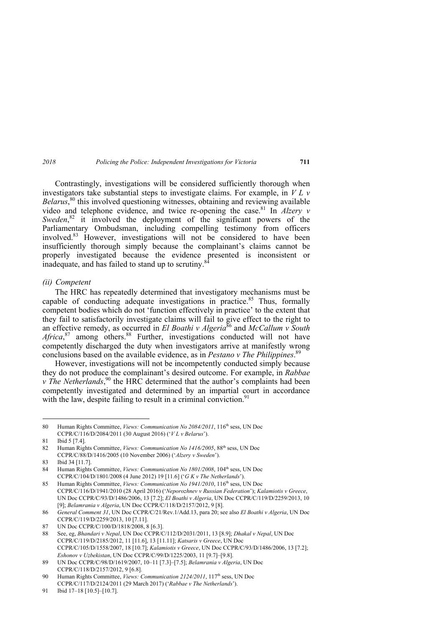Contrastingly, investigations will be considered sufficiently thorough when investigators take substantial steps to investigate claims. For example, in *V L v Belarus*, 80 this involved questioning witnesses, obtaining and reviewing available video and telephone evidence, and twice re-opening the case.<sup>81</sup> In *Alzery v* Sweden,<sup>82</sup> it involved the deployment of the significant powers of the Parliamentary Ombudsman, including compelling testimony from officers involved.83 However, investigations will not be considered to have been insufficiently thorough simply because the complainant's claims cannot be properly investigated because the evidence presented is inconsistent or inadequate, and has failed to stand up to scrutiny.<sup>84</sup>

#### *(ii) Competent*

The HRC has repeatedly determined that investigatory mechanisms must be capable of conducting adequate investigations in practice.<sup>85</sup> Thus, formally competent bodies which do not 'function effectively in practice' to the extent that they fail to satisfactorily investigate claims will fail to give effect to the right to an effective remedy, as occurred in *El Boathi v Algeria*<sup>86</sup> and *McCallum v South* Africa,<sup>87</sup> among others.<sup>88</sup> Further, investigations conducted will not have competently discharged the duty when investigators arrive at manifestly wrong conclusions based on the available evidence, as in *Pestano v The Philippines*. 89

However, investigations will not be incompetently conducted simply because they do not produce the complainant's desired outcome. For example, in *Rabbae v* The Netherlands,<sup>90</sup> the HRC determined that the author's complaints had been competently investigated and determined by an impartial court in accordance with the law, despite failing to result in a criminal conviction.<sup>91</sup>

<sup>80</sup> Human Rights Committee, *Views: Communication No 2084/2011*, 116th sess, UN Doc CCPR/C/116/D/2084/2011 (30 August 2016) ('*V L v Belarus*').

<sup>81</sup> Ibid 5 [7.4].

<sup>82</sup> Human Rights Committee, *Views: Communication No 1416/2005*, 88<sup>th</sup> sess, UN Doc CCPR/C/88/D/1416/2005 (10 November 2006) ('*Alzery v Sweden*').

<sup>83</sup> Ibid 34 [11.7].

<sup>84</sup> Human Rights Committee, *Views: Communication No 1801/2008*, 104<sup>th</sup> sess, UN Doc CCPR/C/104/D/1801/2008 (4 June 2012) 19 [11.6] ('*G K v The Netherlands*').

<sup>85</sup> Human Rights Committee, *Views: Communication No 1941/2010*, 116<sup>th</sup> sess, UN Doc CCPR/C/116/D/1941/2010 (28 April 2016) ('*Neporozhnev v Russian Federation*'); *Kalamiotis v Greece*, UN Doc CCPR/C/93/D/1486/2006, 13 [7.2]; *El Boathi v Algeria*, UN Doc CCPR/C/119/D/2259/2013, 10 [9]; *Belamrania v Algeria*, UN Doc CCPR/C/118/D/2157/2012, 9 [8].

<sup>86</sup> *General Comment 31*, UN Doc CCPR/C/21/Rev.1/Add.13, para 20; see also *El Boathi v Algeria*, UN Doc CCPR/C/119/D/2259/2013, 10 [7.11].

<sup>87</sup> UN Doc CCPR/C/100/D/1818/2008, 8 [6.3].

<sup>88</sup> See, eg, *Bhandari v Nepal*, UN Doc CCPR/C/112/D/2031/2011, 13 [8.9]; *Dhakal v Nepal*, UN Doc CCPR/C/119/D/2185/2012, 11 [11.6], 13 [11.11]; *Katsaris v Greece*, UN Doc CCPR/C/105/D/1558/2007, 18 [10.7]; *Kalamiotis v Greece*, UN Doc CCPR/C/93/D/1486/2006, 13 [7.2]; *Eshonov v Uzbekistan*, UN Doc CCPR/C/99/D/1225/2003, 11 [9.7]–[9.8].

<sup>89</sup> UN Doc CCPR/C/98/D/1619/2007, 10–11 [7.3]–[7.5]; *Belamrania v Algeria*, UN Doc CCPR/C/118/D/2157/2012, 9 [6.8].

<sup>90</sup> Human Rights Committee, *Views: Communication 2124/2011*, 117<sup>th</sup> sess, UN Doc CCPR/C/117/D/2124/2011 (29 March 2017) ('*Rabbae v The Netherlands*').

<sup>91</sup> Ibid 17–18 [10.5]–[10.7].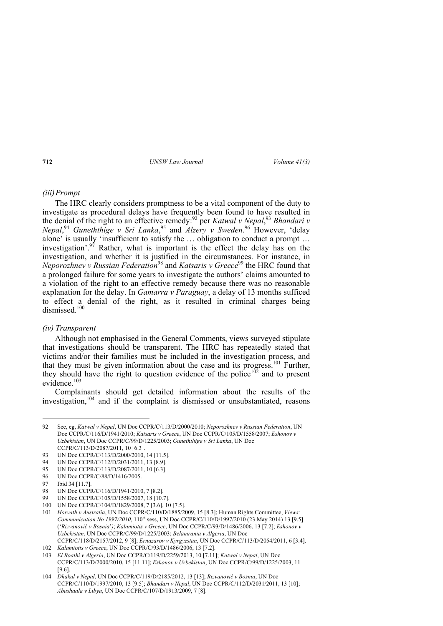## *(iii) Prompt*

The HRC clearly considers promptness to be a vital component of the duty to investigate as procedural delays have frequently been found to have resulted in the denial of the right to an effective remedy:92 per *Katwal v Nepal*, <sup>93</sup> *Bhandari v Nepal*, <sup>94</sup> *Guneththige v Sri Lanka*, 95 and *Alzery v Sweden*. 96 However, 'delay alone' is usually 'insufficient to satisfy the … obligation to conduct a prompt … investigation'.<sup>97</sup> Rather, what is important is the effect the delay has on the investigation, and whether it is justified in the circumstances. For instance, in *Neporozhnev v Russian Federation*<sup>98</sup> and *Katsaris v Greece*<sup>99</sup> the HRC found that a prolonged failure for some years to investigate the authors' claims amounted to a violation of the right to an effective remedy because there was no reasonable explanation for the delay. In *Gamarra v Paraguay*, a delay of 13 months sufficed to effect a denial of the right, as it resulted in criminal charges being dismissed<sup>100</sup>

#### *(iv) Transparent*

Although not emphasised in the General Comments, views surveyed stipulate that investigations should be transparent. The HRC has repeatedly stated that victims and/or their families must be included in the investigation process, and that they must be given information about the case and its progress.<sup>101</sup> Further, they should have the right to question evidence of the police<sup>102</sup> and to present evidence  $103$ 

Complainants should get detailed information about the results of the investigation,104 and if the complaint is dismissed or unsubstantiated, reasons

- 95 UN Doc CCPR/C/113/D/2087/2011, 10 [6.3].
- 96 UN Doc CCPR/C/88/D/1416/2005.

<sup>92</sup> See, eg, *Katwal v Nepal*, UN Doc CCPR/C/113/D/2000/2010; *Neporozhnev v Russian Federation*, UN Doc CCPR/C/116/D/1941/2010; *Katsaris v Greece*, UN Doc CCPR/C/105/D/1558/2007; *Eshonov v Uzbekistan*, UN Doc CCPR/C/99/D/1225/2003; *Guneththige v Sri Lanka*, UN Doc CCPR/C/113/D/2087/2011, 10 [6.3].

<sup>93</sup> UN Doc CCPR/C/113/D/2000/2010, 14 [11.5].

<sup>94</sup> UN Doc CCPR/C/112/D/2031/2011, 13 [8.9].

<sup>97</sup> Ibid 34 [11.7].

<sup>98</sup> UN Doc CCPR/C/116/D/1941/2010, 7 [8.2].

<sup>99</sup> UN Doc CCPR/C/105/D/1558/2007, 18 [10.7].

<sup>100</sup> UN Doc CCPR/C/104/D/1829/2008, 7 [3.6], 10 [7.5].

<sup>101</sup> *Horvath v Australia*, UN Doc CCPR/C/110/D/1885/2009, 15 [8.3]; Human Rights Committee, *Views: Communication No 1997/2010*, 110<sup>th</sup> sess, UN Doc CCPR/C/110/D/1997/2010 (23 May 2014) 13 [9.5] ('*Rizvanović v Bosnia*'*)*; *Kalamiotis v Greece*, UN Doc CCPR/C/93/D/1486/2006, 13 [7.2]; *Eshonov v Uzbekistan*, UN Doc CCPR/C/99/D/1225/2003; *Belamrania v Algeria*, UN Doc CCPR/C/118/D/2157/2012, 9 [8]; *Ernazarov v Kyrgyzstan*, UN Doc CCPR/C/113/D/2054/2011, 6 [3.4].

<sup>102</sup> *Kalamiotis v Greece*, UN Doc CCPR/C/93/D/1486/2006, 13 [7.2].

<sup>103</sup> *El Boathi v Algeria*, UN Doc CCPR/C/119/D/2259/2013, 10 [7.11]; *Katwal v Nepal*, UN Doc CCPR/C/113/D/2000/2010, 15 [11.11]; *Eshonov v Uzbekistan*, UN Doc CCPR/C/99/D/1225/2003, 11 [9.6].

<sup>104</sup> *Dhakal v Nepal*, UN Doc CCPR/C/119/D/2185/2012, 13 [13]; *Rizvanović v Bosnia*, UN Doc CCPR/C/110/D/1997/2010, 13 [9.5]; *Bhandari v Nepal*, UN Doc CCPR/C/112/D/2031/2011, 13 [10]; *Abushaala v Libya*, UN Doc CCPR/C/107/D/1913/2009, 7 [8].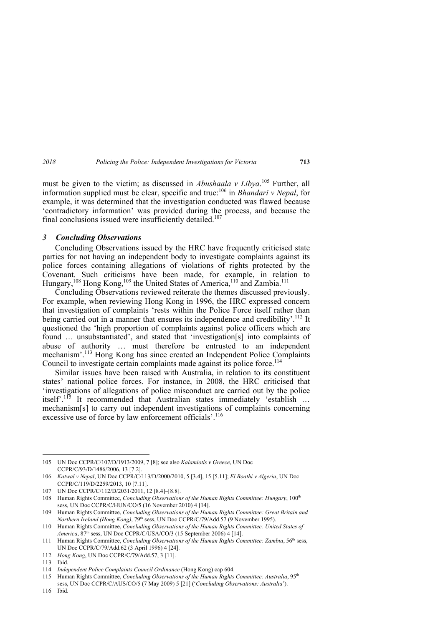must be given to the victim; as discussed in *Abushaala v Libya*. <sup>105</sup> Further, all information supplied must be clear, specific and true:106 in *Bhandari v Nepal*, for example, it was determined that the investigation conducted was flawed because 'contradictory information' was provided during the process, and because the final conclusions issued were insufficiently detailed.<sup>107</sup>

## *3 Concluding Observations*

Concluding Observations issued by the HRC have frequently criticised state parties for not having an independent body to investigate complaints against its police forces containing allegations of violations of rights protected by the Covenant. Such criticisms have been made, for example, in relation to Hungary,<sup>108</sup> Hong Kong,<sup>109</sup> the United States of America,<sup>110</sup> and Zambia.<sup>111</sup>

Concluding Observations reviewed reiterate the themes discussed previously. For example, when reviewing Hong Kong in 1996, the HRC expressed concern that investigation of complaints 'rests within the Police Force itself rather than being carried out in a manner that ensures its independence and credibility'.<sup>112</sup> It questioned the 'high proportion of complaints against police officers which are found … unsubstantiated', and stated that 'investigation[s] into complaints of abuse of authority … must therefore be entrusted to an independent mechanism'.<sup>113</sup> Hong Kong has since created an Independent Police Complaints Council to investigate certain complaints made against its police force.<sup>114</sup>

Similar issues have been raised with Australia, in relation to its constituent states' national police forces. For instance, in 2008, the HRC criticised that 'investigations of allegations of police misconduct are carried out by the police itself'.115 It recommended that Australian states immediately 'establish … mechanism[s] to carry out independent investigations of complaints concerning excessive use of force by law enforcement officials'.<sup>116</sup>

<sup>105</sup> UN Doc CCPR/C/107/D/1913/2009, 7 [8]; see also *Kalamiotis v Greece*, UN Doc CCPR/C/93/D/1486/2006, 13 [7.2].

<sup>106</sup> *Katwal v Nepal*, UN Doc CCPR/C/113/D/2000/2010, 5 [3.4], 15 [5.11]; *El Boathi v Algeria*, UN Doc CCPR/C/119/D/2259/2013, 10 [7.11].

<sup>107</sup> UN Doc CCPR/C/112/D/2031/2011, 12 [8.4]–[8.8].

<sup>108</sup> Human Rights Committee, *Concluding Observations of the Human Rights Committee: Hungary*, 100th sess, UN Doc CCPR/C/HUN/CO/5 (16 November 2010) 4 [14].

<sup>109</sup> Human Rights Committee, *Concluding Observations of the Human Rights Committee: Great Britain and Northern Ireland (Hong Kong)*, 79<sup>th</sup> sess, UN Doc CCPR/C/79/Add.57 (9 November 1995).

<sup>110</sup> Human Rights Committee, *Concluding Observations of the Human Rights Committee: United States of America*, 87th sess, UN Doc CCPR/C/USA/CO/3 (15 September 2006) 4 [14].

<sup>111</sup> Human Rights Committee, *Concluding Observations of the Human Rights Committee: Zambia*, 56th sess, UN Doc CCPR/C/79/Add.62 (3 April 1996) 4 [24].

<sup>112</sup> *Hong Kong*, UN Doc CCPR/C/79/Add.57, 3 [11].

<sup>113</sup> Ibid.

<sup>114</sup> *Independent Police Complaints Council Ordinance* (Hong Kong) cap 604.

<sup>115</sup> Human Rights Committee, *Concluding Observations of the Human Rights Committee: Australia*, 95th sess, UN Doc CCPR/C/AUS/CO/5 (7 May 2009) 5 [21] ('*Concluding Observations: Australia*').

<sup>116</sup> Ibid.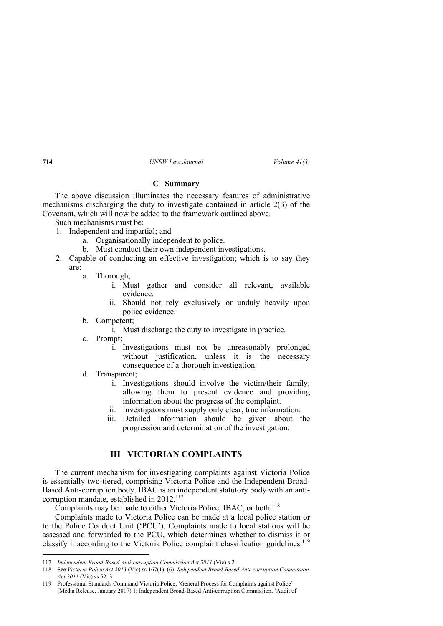#### **C Summary**

The above discussion illuminates the necessary features of administrative mechanisms discharging the duty to investigate contained in article 2(3) of the Covenant, which will now be added to the framework outlined above.

Such mechanisms must be:

- 1. Independent and impartial; and
	- a. Organisationally independent to police.
	- b. Must conduct their own independent investigations.
- 2. Capable of conducting an effective investigation; which is to say they are:
	- a. Thorough;
		- i. Must gather and consider all relevant, available evidence.
		- ii. Should not rely exclusively or unduly heavily upon police evidence.
	- b. Competent;
		- i. Must discharge the duty to investigate in practice.
	- c. Prompt;
		- i. Investigations must not be unreasonably prolonged without justification, unless it is the necessary consequence of a thorough investigation.
	- d. Transparent;
		- i. Investigations should involve the victim/their family; allowing them to present evidence and providing information about the progress of the complaint.
		- ii. Investigators must supply only clear, true information.
		- iii. Detailed information should be given about the progression and determination of the investigation.

# **III VICTORIAN COMPLAINTS**

The current mechanism for investigating complaints against Victoria Police is essentially two-tiered, comprising Victoria Police and the Independent Broad-Based Anti-corruption body. IBAC is an independent statutory body with an anticorruption mandate, established in  $2012$ .<sup>117</sup>

Complaints may be made to either Victoria Police, IBAC, or both.<sup>118</sup>

Complaints made to Victoria Police can be made at a local police station or to the Police Conduct Unit ('PCU'). Complaints made to local stations will be assessed and forwarded to the PCU, which determines whether to dismiss it or classify it according to the Victoria Police complaint classification guidelines.<sup>119</sup>

<sup>117</sup> *Independent Broad-Based Anti-corruption Commission Act 2011* (Vic) s 2.

<sup>118</sup> See *Victoria Police Act 2013* (Vic) ss 167(1)–(6); *Independent Broad-Based Anti-corruption Commission Act 2011* (Vic) ss 52–3.

<sup>119</sup> Professional Standards Command Victoria Police, 'General Process for Complaints against Police' (Media Release, January 2017) 1; Independent Broad-Based Anti-corruption Commission, 'Audit of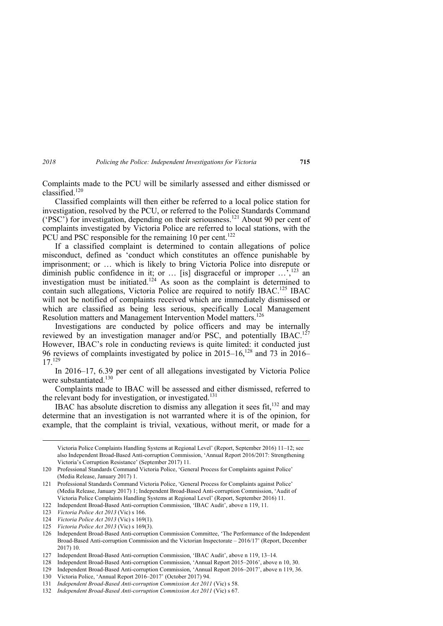Complaints made to the PCU will be similarly assessed and either dismissed or classified. $120$ 

Classified complaints will then either be referred to a local police station for investigation, resolved by the PCU, or referred to the Police Standards Command ('PSC') for investigation, depending on their seriousness.121 About 90 per cent of complaints investigated by Victoria Police are referred to local stations, with the PCU and PSC responsible for the remaining 10 per cent.<sup>122</sup>

If a classified complaint is determined to contain allegations of police misconduct, defined as 'conduct which constitutes an offence punishable by imprisonment; or … which is likely to bring Victoria Police into disrepute or diminish public confidence in it; or  $\ldots$  [is] disgraceful or improper  $\ldots$ ,<sup>123</sup> an investigation must be initiated.<sup>124</sup> As soon as the complaint is determined to contain such allegations, Victoria Police are required to notify IBAC.<sup>125</sup> IBAC will not be notified of complaints received which are immediately dismissed or which are classified as being less serious, specifically Local Management Resolution matters and Management Intervention Model matters.<sup>126</sup>

Investigations are conducted by police officers and may be internally reviewed by an investigation manager and/or PSC, and potentially IBAC.<sup>127</sup> However, IBAC's role in conducting reviews is quite limited: it conducted just 96 reviews of complaints investigated by police in  $2015-16$ ,  $^{128}$  and 73 in  $2016-$ 17.129

In 2016*–*17, 6.39 per cent of all allegations investigated by Victoria Police were substantiated.<sup>130</sup>

Complaints made to IBAC will be assessed and either dismissed, referred to the relevant body for investigation, or investigated.<sup>131</sup>

IBAC has absolute discretion to dismiss any allegation it sees fit.<sup>132</sup> and may determine that an investigation is not warranted where it is of the opinion, for example, that the complaint is trivial, vexatious, without merit, or made for a

 Victoria Police Complaints Handling Systems at Regional Level' (Report, September 2016) 11–12; see also Independent Broad-Based Anti-corruption Commission, 'Annual Report 2016/2017: Strengthening Victoria's Corruption Resistance' (September 2017) 11.

125 *Victoria Police Act 2013* (Vic) s 169(3).

<sup>120</sup> Professional Standards Command Victoria Police, 'General Process for Complaints against Police' (Media Release, January 2017) 1.

<sup>121</sup> Professional Standards Command Victoria Police, 'General Process for Complaints against Police' (Media Release, January 2017) 1; Independent Broad-Based Anti-corruption Commission, 'Audit of Victoria Police Complaints Handling Systems at Regional Level' (Report, September 2016) 11.

<sup>122</sup> Independent Broad-Based Anti-corruption Commission, 'IBAC Audit', above n 119, 11.

<sup>123</sup> *Victoria Police Act 2013* (Vic) s 166.

<sup>124</sup> *Victoria Police Act 2013* (Vic) s 169(1).

<sup>126</sup> Independent Broad-Based Anti-corruption Commission Committee, 'The Performance of the Independent Broad-Based Anti-corruption Commission and the Victorian Inspectorate – 2016/17' (Report, December 2017) 10.

<sup>127</sup> Independent Broad-Based Anti-corruption Commission, 'IBAC Audit', above n 119, 13–14.

<sup>128</sup> Independent Broad-Based Anti-corruption Commission, 'Annual Report 2015–2016', above n 10, 30.

<sup>129</sup> Independent Broad-Based Anti-corruption Commission, 'Annual Report 2016–2017', above n 119, 36.

<sup>130</sup> Victoria Police, 'Annual Report 2016–2017' (October 2017) 94.

<sup>131</sup> *Independent Broad-Based Anti-corruption Commission Act 2011* (Vic) s 58.

<sup>132</sup> *Independent Broad-Based Anti-corruption Commission Act 2011* (Vic) s 67.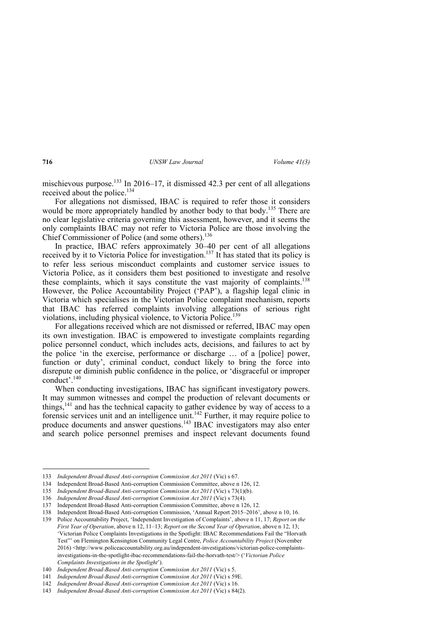mischievous purpose.133 In 2016–17, it dismissed 42.3 per cent of all allegations received about the police.<sup>134</sup>

For allegations not dismissed, IBAC is required to refer those it considers would be more appropriately handled by another body to that body.<sup>135</sup> There are no clear legislative criteria governing this assessment, however, and it seems the only complaints IBAC may not refer to Victoria Police are those involving the Chief Commissioner of Police (and some others).136

In practice, IBAC refers approximately 30–40 per cent of all allegations received by it to Victoria Police for investigation.<sup>137</sup> It has stated that its policy is to refer less serious misconduct complaints and customer service issues to Victoria Police, as it considers them best positioned to investigate and resolve these complaints, which it says constitute the vast majority of complaints.<sup>138</sup> However, the Police Accountability Project ('PAP'), a flagship legal clinic in Victoria which specialises in the Victorian Police complaint mechanism, reports that IBAC has referred complaints involving allegations of serious right violations, including physical violence, to Victoria Police.<sup>139</sup>

For allegations received which are not dismissed or referred, IBAC may open its own investigation. IBAC is empowered to investigate complaints regarding police personnel conduct, which includes acts, decisions, and failures to act by the police 'in the exercise, performance or discharge … of a [police] power, function or duty', criminal conduct, conduct likely to bring the force into disrepute or diminish public confidence in the police, or 'disgraceful or improper conduct'.140

When conducting investigations, IBAC has significant investigatory powers. It may summon witnesses and compel the production of relevant documents or things,<sup>141</sup> and has the technical capacity to gather evidence by way of access to a forensic services unit and an intelligence unit.<sup>142</sup> Further, it may require police to produce documents and answer questions.143 IBAC investigators may also enter and search police personnel premises and inspect relevant documents found

<sup>133</sup> *Independent Broad-Based Anti-corruption Commission Act 2011* (Vic) s 67.

<sup>134</sup> Independent Broad-Based Anti-corruption Commission Committee, above n 126, 12.

<sup>135</sup> *Independent Broad-Based Anti-corruption Commission Act 2011* (Vic) s 73(1)(b).

<sup>136</sup> *Independent Broad-Based Anti-corruption Commission Act 2011* (Vic) s 73(4).

<sup>137</sup> Independent Broad-Based Anti-corruption Commission Committee, above n 126, 12.

<sup>138</sup> Independent Broad-Based Anti-corruption Commission, 'Annual Report 2015–2016', above n 10, 16.

<sup>139</sup> Police Accountability Project, 'Independent Investigation of Complaints', above n 11, 17; *Report on the First Year of Operation*, above n 12, 11–13; *Report on the Second Year of Operation*, above n 12, 13; 'Victorian Police Complaints Investigations in the Spotlight: IBAC Recommendations Fail the "Horvath Test"' on Flemington Kensington Community Legal Centre, *Police Accountability Project* (November 2016) <http://www.policeaccountability.org.au/independent-investigations/victorian-police-complaintsinvestigations-in-the-spotlight-ibac-recommendations-fail-the-horvath-test/> ('*Victorian Police Complaints Investigations in the Spotlight*').

<sup>140</sup> *Independent Broad-Based Anti-corruption Commission Act 2011* (Vic) s 5.

<sup>141</sup> *Independent Broad-Based Anti-corruption Commission Act 2011* (Vic) s 59E.

<sup>142</sup> *Independent Broad-Based Anti-corruption Commission Act 2011* (Vic) s 16.

<sup>143</sup> *Independent Broad-Based Anti-corruption Commission Act 2011* (Vic) s 84(2).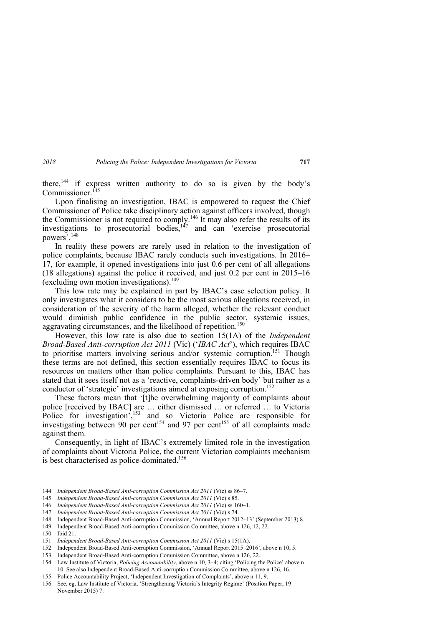there,<sup> $144$ </sup> if express written authority to do so is given by the body's Commissioner.<sup>145</sup>

Upon finalising an investigation, IBAC is empowered to request the Chief Commissioner of Police take disciplinary action against officers involved, though the Commissioner is not required to comply.146 It may also refer the results of its investigations to prosecutorial bodies,  $147$  and can 'exercise prosecutorial powers'.148

In reality these powers are rarely used in relation to the investigation of police complaints, because IBAC rarely conducts such investigations. In 2016– 17, for example, it opened investigations into just 0.6 per cent of all allegations (18 allegations) against the police it received, and just 0.2 per cent in 2015–16 (excluding own motion investigations).<sup>149</sup>

This low rate may be explained in part by IBAC's case selection policy. It only investigates what it considers to be the most serious allegations received, in consideration of the severity of the harm alleged, whether the relevant conduct would diminish public confidence in the public sector, systemic issues, aggravating circumstances, and the likelihood of repetition.<sup>150</sup>

However, this low rate is also due to section 15(1A) of the *Independent Broad-Based Anti-corruption Act 2011* (Vic) ('*IBAC Act*'), which requires IBAC to prioritise matters involving serious and/or systemic corruption.<sup>151</sup> Though these terms are not defined, this section essentially requires IBAC to focus its resources on matters other than police complaints. Pursuant to this, IBAC has stated that it sees itself not as a 'reactive, complaints-driven body' but rather as a conductor of 'strategic' investigations aimed at exposing corruption.<sup>152</sup>

These factors mean that '[t]he overwhelming majority of complaints about police [received by IBAC] are … either dismissed … or referred … to Victoria Police for investigation<sup>7</sup>,<sup>153</sup> and so Victoria Police are responsible for investigating between 90 per cent<sup>154</sup> and 97 per cent<sup>155</sup> of all complaints made against them.

Consequently, in light of IBAC's extremely limited role in the investigation of complaints about Victoria Police, the current Victorian complaints mechanism is best characterised as police-dominated.<sup>156</sup>

<sup>144</sup> *Independent Broad-Based Anti-corruption Commission Act 2011* (Vic) ss 86–7.

<sup>145</sup> *Independent Broad-Based Anti-corruption Commission Act 2011* (Vic) s 85.

<sup>146</sup> *Independent Broad-Based Anti-corruption Commission Act 2011* (Vic) ss 160–1.

<sup>147</sup> *Independent Broad-Based Anti-corruption Commission Act 2011* (Vic) s 74.

<sup>148</sup> Independent Broad-Based Anti-corruption Commission, 'Annual Report 2012–13' (September 2013) 8.

<sup>149</sup> Independent Broad-Based Anti-corruption Commission Committee, above n 126, 12, 22.

<sup>150</sup> Ibid 21.

<sup>151</sup> *Independent Broad-Based Anti-corruption Commission Act 2011* (Vic) s 15(1A).

<sup>152</sup> Independent Broad-Based Anti-corruption Commission, 'Annual Report 2015–2016', above n 10, 5.

<sup>153</sup> Independent Broad-Based Anti-corruption Commission Committee, above n 126, 22.

<sup>154</sup> Law Institute of Victoria, *Policing Accountability*, above n 10, 3–4; citing 'Policing the Police' above n 10. See also Independent Broad-Based Anti-corruption Commission Committee, above n 126, 16.

<sup>155</sup> Police Accountability Project, 'Independent Investigation of Complaints', above n 11, 9.

<sup>156</sup> See, eg, Law Institute of Victoria, 'Strengthening Victoria's Integrity Regime' (Position Paper, 19 November 2015) 7.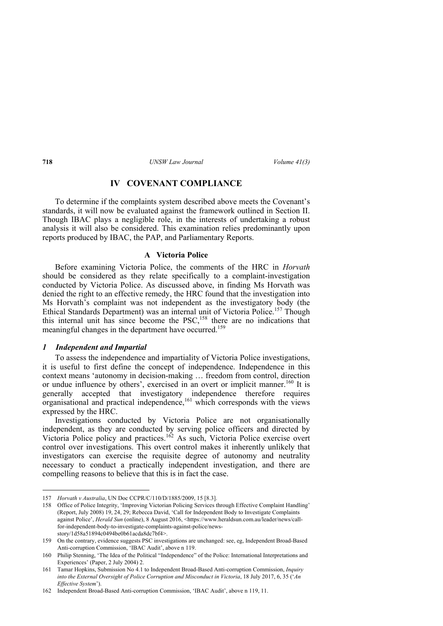# **IV COVENANT COMPLIANCE**

To determine if the complaints system described above meets the Covenant's standards, it will now be evaluated against the framework outlined in Section II. Though IBAC plays a negligible role, in the interests of undertaking a robust analysis it will also be considered. This examination relies predominantly upon reports produced by IBAC, the PAP, and Parliamentary Reports.

#### **A Victoria Police**

Before examining Victoria Police, the comments of the HRC in *Horvath*  should be considered as they relate specifically to a complaint-investigation conducted by Victoria Police. As discussed above, in finding Ms Horvath was denied the right to an effective remedy, the HRC found that the investigation into Ms Horvath's complaint was not independent as the investigatory body (the Ethical Standards Department) was an internal unit of Victoria Police.<sup>157</sup> Though this internal unit has since become the PSC,<sup>158</sup> there are no indications that meaningful changes in the department have occurred.<sup>159</sup>

## *1 Independent and Impartial*

To assess the independence and impartiality of Victoria Police investigations, it is useful to first define the concept of independence. Independence in this context means 'autonomy in decision-making … freedom from control, direction or undue influence by others', exercised in an overt or implicit manner.<sup>160</sup> It is generally accepted that investigatory independence therefore requires organisational and practical independence,<sup>161</sup> which corresponds with the views expressed by the HRC.

Investigations conducted by Victoria Police are not organisationally independent, as they are conducted by serving police officers and directed by Victoria Police policy and practices.162 As such, Victoria Police exercise overt control over investigations. This overt control makes it inherently unlikely that investigators can exercise the requisite degree of autonomy and neutrality necessary to conduct a practically independent investigation, and there are compelling reasons to believe that this is in fact the case.

<sup>157</sup> *Horvath v Australia*, UN Doc CCPR/C/110/D/1885/2009, 15 [8.3].

<sup>158</sup> Office of Police Integrity, 'Improving Victorian Policing Services through Effective Complaint Handling' (Report, July 2008) 19, 24, 29; Rebecca David, 'Call for Independent Body to Investigate Complaints against Police', *Herald Sun* (online), 8 August 2016, <https://www.heraldsun.com.au/leader/news/callfor-independent-body-to-investigate-complaints-against-police/newsstory/1d58a51894c0494be0b61acda8dc7bf4>.

<sup>159</sup> On the contrary, evidence suggests PSC investigations are unchanged: see, eg, Independent Broad-Based Anti-corruption Commission, 'IBAC Audit', above n 119.

<sup>160</sup> Philip Stenning, 'The Idea of the Political "Independence" of the Police: International Interpretations and Experiences' (Paper, 2 July 2004) 2.

<sup>161</sup> Tamar Hopkins, Submission No 4.1 to Independent Broad-Based Anti-corruption Commission, *Inquiry into the External Oversight of Police Corruption and Misconduct in Victoria*, 18 July 2017, 6, 35 ('*An Effective System*').

<sup>162</sup> Independent Broad-Based Anti-corruption Commission, 'IBAC Audit', above n 119, 11.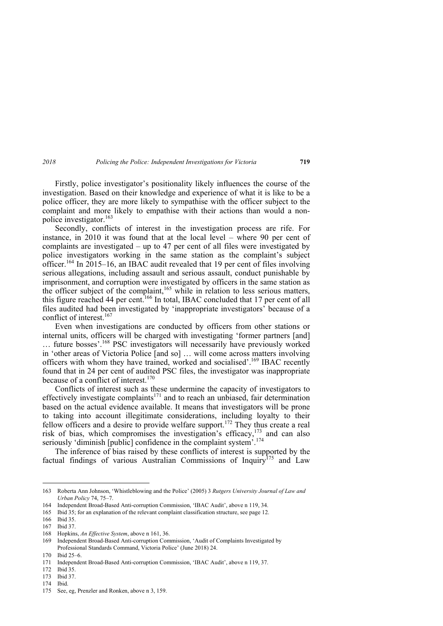Firstly, police investigator's positionality likely influences the course of the investigation. Based on their knowledge and experience of what it is like to be a police officer, they are more likely to sympathise with the officer subject to the complaint and more likely to empathise with their actions than would a nonpolice investigator.163

Secondly, conflicts of interest in the investigation process are rife. For instance, in 2010 it was found that at the local level – where 90 per cent of complaints are investigated – up to 47 per cent of all files were investigated by police investigators working in the same station as the complaint's subject officer.<sup>164</sup> In 2015–16, an IBAC audit revealed that 19 per cent of files involving serious allegations, including assault and serious assault, conduct punishable by imprisonment, and corruption were investigated by officers in the same station as the officer subject of the complaint,<sup>165</sup> while in relation to less serious matters, this figure reached 44 per cent.<sup>166</sup> In total, IBAC concluded that 17 per cent of all files audited had been investigated by 'inappropriate investigators' because of a conflict of interest.<sup>167</sup>

Even when investigations are conducted by officers from other stations or internal units, officers will be charged with investigating 'former partners [and] … future bosses'.168 PSC investigators will necessarily have previously worked in 'other areas of Victoria Police [and so] … will come across matters involving officers with whom they have trained, worked and socialised'.169 IBAC recently found that in 24 per cent of audited PSC files, the investigator was inappropriate because of a conflict of interest. $170$ 

Conflicts of interest such as these undermine the capacity of investigators to effectively investigate complaints<sup>171</sup> and to reach an unbiased, fair determination based on the actual evidence available. It means that investigators will be prone to taking into account illegitimate considerations, including loyalty to their fellow officers and a desire to provide welfare support.<sup>172</sup> They thus create a real risk of bias, which compromises the investigation's efficacy,<sup>173</sup> and can also seriously 'diminish [public] confidence in the complaint system<sup>'.174</sup>

The inference of bias raised by these conflicts of interest is supported by the factual findings of various Australian Commissions of Inquiry<sup>175</sup> and Law

 $\overline{a}$ 

174 Ibid.

<sup>163</sup> Roberta Ann Johnson, 'Whistleblowing and the Police' (2005) 3 *Rutgers University Journal of Law and Urban Policy* 74, 75–7.

<sup>164</sup> Independent Broad-Based Anti-corruption Commission, 'IBAC Audit', above n 119, 34.

<sup>165</sup> Ibid 35; for an explanation of the relevant complaint classification structure, see page 12.

<sup>166</sup> Ibid 35.

<sup>167</sup> Ibid 37.

<sup>168</sup> Hopkins, *An Effective System*, above n 161, 36.

<sup>169</sup> Independent Broad-Based Anti-corruption Commission, 'Audit of Complaints Investigated by Professional Standards Command, Victoria Police' (June 2018) 24.

<sup>170</sup> Ibid 25–6.

<sup>171</sup> Independent Broad-Based Anti-corruption Commission, 'IBAC Audit', above n 119, 37.

<sup>172</sup> Ibid 35.

<sup>173</sup> Ibid 37.

<sup>175</sup> See, eg, Prenzler and Ronken, above n 3, 159.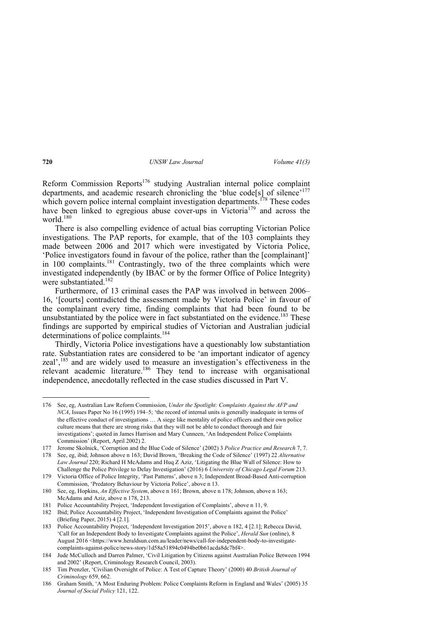Reform Commission Reports<sup>176</sup> studying Australian internal police complaint departments, and academic research chronicling the 'blue code<sup>[5]</sup> of silence'<sup>177</sup> which govern police internal complaint investigation departments.<sup>178</sup> These codes have been linked to egregious abuse cover-ups in Victoria<sup>179</sup> and across the world  $180$ 

There is also compelling evidence of actual bias corrupting Victorian Police investigations. The PAP reports, for example, that of the 103 complaints they made between 2006 and 2017 which were investigated by Victoria Police, 'Police investigators found in favour of the police, rather than the [complainant]' in 100 complaints.<sup>181</sup> Contrastingly, two of the three complaints which were investigated independently (by IBAC or by the former Office of Police Integrity) were substantiated.<sup>182</sup>

Furthermore, of 13 criminal cases the PAP was involved in between 2006– 16, '[courts] contradicted the assessment made by Victoria Police' in favour of the complainant every time, finding complaints that had been found to be unsubstantiated by the police were in fact substantiated on the evidence.<sup>183</sup> These findings are supported by empirical studies of Victorian and Australian judicial determinations of police complaints.<sup>184</sup>

Thirdly, Victoria Police investigations have a questionably low substantiation rate. Substantiation rates are considered to be 'an important indicator of agency zeal',185 and are widely used to measure an investigation's effectiveness in the relevant academic literature.<sup>186</sup> They tend to increase with organisational independence, anecdotally reflected in the case studies discussed in Part V.

<sup>176</sup> See, eg, Australian Law Reform Commission, *Under the Spotlight: Complaints Against the AFP and NCA*, Issues Paper No 16 (1995) 194–5; 'the record of internal units is generally inadequate in terms of the effective conduct of investigations … A siege like mentality of police officers and their own police culture means that there are strong risks that they will not be able to conduct thorough and fair investigations'; quoted in James Harrison and Mary Cunneen, 'An Independent Police Complaints Commission' (Report, April 2002) 2.

<sup>177</sup> Jerome Skolnick, 'Corruption and the Blue Code of Silence' (2002) 3 *Police Practice and Research* 7, 7.

<sup>178</sup> See, eg, ibid; Johnson above n 163; David Brown, 'Breaking the Code of Silence' (1997) 22 *Alternative Law Journal* 220; Richard H McAdams and Huq Z Aziz, 'Litigating the Blue Wall of Silence: How to Challenge the Police Privilege to Delay Investigation' (2016) 6 *University of Chicago Legal Forum* 213.

<sup>179</sup> Victoria Office of Police Integrity, 'Past Patterns', above n 3; Independent Broad-Based Anti-corruption Commission, 'Predatory Behaviour by Victoria Police', above n 13.

<sup>180</sup> See, eg, Hopkins, *An Effective System*, above n 161; Brown, above n 178; Johnson, above n 163; McAdams and Aziz, above n 178, 213.

<sup>181</sup> Police Accountability Project, 'Independent Investigation of Complaints', above n 11, 9.

<sup>182</sup> Ibid; Police Accountability Project, 'Independent Investigation of Complaints against the Police' (Briefing Paper, 2015) 4 [2.1].

<sup>183</sup> Police Accountability Project, 'Independent Investigation 2015', above n 182, 4 [2.1]; Rebecca David, 'Call for an Independent Body to Investigate Complaints against the Police', *Herald Sun* (online), 8 August 2016 <https://www.heraldsun.com.au/leader/news/call-for-independent-body-to-investigatecomplaints-against-police/news-story/1d58a51894c0494be0b61acda8dc7bf4>.

<sup>184</sup> Jude McCulloch and Darren Palmer, 'Civil Litigation by Citizens against Australian Police Between 1994 and 2002' (Report, Criminology Research Council, 2003).

<sup>185</sup> Tim Prenzler, 'Civilian Oversight of Police: A Test of Capture Theory' (2000) 40 *British Journal of Criminology* 659, 662.

<sup>186</sup> Graham Smith, 'A Most Enduring Problem: Police Complaints Reform in England and Wales' (2005) 35 *Journal of Social Policy* 121, 122.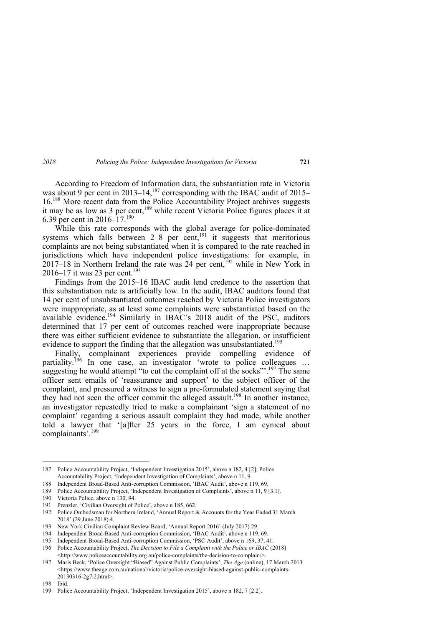According to Freedom of Information data, the substantiation rate in Victoria was about 9 per cent in 2013–14,<sup>187</sup> corresponding with the IBAC audit of 2015– 16.188 More recent data from the Police Accountability Project archives suggests it may be as low as 3 per cent,<sup>189</sup> while recent Victoria Police figures places it at 6.39 per cent in 2016–17.190

While this rate corresponds with the global average for police-dominated systems which falls between 2–8 per cent,<sup>191</sup> it suggests that meritorious complaints are not being substantiated when it is compared to the rate reached in jurisdictions which have independent police investigations: for example, in 2017–18 in Northern Ireland the rate was 24 per cent,  $^{192}$  while in New York in 2016–17 it was 23 per cent.<sup>193</sup>

Findings from the 2015*–*16 IBAC audit lend credence to the assertion that this substantiation rate is artificially low. In the audit, IBAC auditors found that 14 per cent of unsubstantiated outcomes reached by Victoria Police investigators were inappropriate, as at least some complaints were substantiated based on the available evidence.<sup>194</sup> Similarly in IBAC's 2018 audit of the PSC, auditors determined that 17 per cent of outcomes reached were inappropriate because there was either sufficient evidence to substantiate the allegation, or insufficient evidence to support the finding that the allegation was unsubstantiated.<sup>195</sup>

Finally, complainant experiences provide compelling evidence of partiality.<sup>196</sup> In one case, an investigator 'wrote to police colleagues ... suggesting he would attempt "to cut the complaint off at the socks".<sup>197</sup> The same officer sent emails of 'reassurance and support' to the subject officer of the complaint, and pressured a witness to sign a pre-formulated statement saying that they had not seen the officer commit the alleged assault.<sup>198</sup> In another instance, an investigator repeatedly tried to make a complainant 'sign a statement of no complaint' regarding a serious assault complaint they had made, while another told a lawyer that '[a]fter 25 years in the force, I am cynical about complainants'.199

<sup>187</sup> Police Accountability Project, 'Independent Investigation 2015', above n 182, 4 [2]; Police Accountability Project, 'Independent Investigation of Complaints', above n 11, 9.

<sup>188</sup> Independent Broad-Based Anti-corruption Commission, 'IBAC Audit', above n 119, 69.

<sup>189</sup> Police Accountability Project, 'Independent Investigation of Complaints', above n 11, 9 [3.1].

<sup>190</sup> Victoria Police, above n 130, 94.

<sup>191</sup> Prenzler, 'Civilian Oversight of Police', above n 185, 662.

<sup>192</sup> Police Ombudsman for Northern Ireland, 'Annual Report & Accounts for the Year Ended 31 March 2018' (29 June 2018) 4.

<sup>193</sup> New York Civilian Complaint Review Board, 'Annual Report 2016' (July 2017) 29.

<sup>194</sup> Independent Broad-Based Anti-corruption Commission, 'IBAC Audit', above n 119, 69.

<sup>195</sup> Independent Broad-Based Anti-corruption Commission, 'PSC Audit', above n 169, 37, 41.

<sup>196</sup> Police Accountability Project, *The Decision to File a Complaint with the Police or IBAC* (2018) <http://www.policeaccountability.org.au/police-complaints/the-decision-to-complain/>.

<sup>197</sup> Maris Beck, 'Police Oversight "Biased" Against Public Complaints', *The Age* (online), 17 March 2013 <https://www.theage.com.au/national/victoria/police-oversight-biased-against-public-complaints-20130316-2g7i2.html>.

<sup>198</sup> Ibid.

<sup>199</sup> Police Accountability Project, 'Independent Investigation 2015', above n 182, 7 [2.2].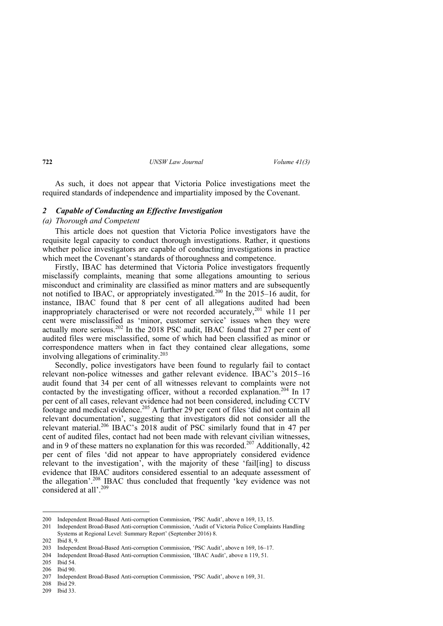As such, it does not appear that Victoria Police investigations meet the required standards of independence and impartiality imposed by the Covenant.

## *2 Capable of Conducting an Effective Investigation*

## *(a) Thorough and Competent*

This article does not question that Victoria Police investigators have the requisite legal capacity to conduct thorough investigations. Rather, it questions whether police investigators are capable of conducting investigations in practice which meet the Covenant's standards of thoroughness and competence.

Firstly, IBAC has determined that Victoria Police investigators frequently misclassify complaints, meaning that some allegations amounting to serious misconduct and criminality are classified as minor matters and are subsequently not notified to IBAC, or appropriately investigated.200 In the 2015–16 audit, for instance, IBAC found that 8 per cent of all allegations audited had been inappropriately characterised or were not recorded accurately,<sup>201</sup> while 11 per cent were misclassified as 'minor, customer service' issues when they were actually more serious.<sup>202</sup> In the 2018 PSC audit, IBAC found that 27 per cent of audited files were misclassified, some of which had been classified as minor or correspondence matters when in fact they contained clear allegations, some involving allegations of criminality.203

Secondly, police investigators have been found to regularly fail to contact relevant non-police witnesses and gather relevant evidence. IBAC's 2015–16 audit found that 34 per cent of all witnesses relevant to complaints were not contacted by the investigating officer, without a recorded explanation.<sup>204</sup> In 17 per cent of all cases, relevant evidence had not been considered, including CCTV footage and medical evidence.<sup>205</sup> A further 29 per cent of files 'did not contain all relevant documentation', suggesting that investigators did not consider all the relevant material.<sup>206</sup> IBAC's 2018 audit of PSC similarly found that in 47 per cent of audited files, contact had not been made with relevant civilian witnesses, and in 9 of these matters no explanation for this was recorded.<sup>207</sup> Additionally, 42 per cent of files 'did not appear to have appropriately considered evidence relevant to the investigation', with the majority of these 'fail[ing] to discuss evidence that IBAC auditors considered essential to an adequate assessment of the allegation'.<sup>208</sup> IBAC thus concluded that frequently 'key evidence was not considered at all'.<sup>209</sup>

<sup>200</sup> Independent Broad-Based Anti-corruption Commission, 'PSC Audit', above n 169, 13, 15.

<sup>201</sup> Independent Broad-Based Anti-corruption Commission, 'Audit of Victoria Police Complaints Handling Systems at Regional Level: Summary Report' (September 2016) 8.

<sup>202</sup> Ibid 8, 9.

<sup>203</sup> Independent Broad-Based Anti-corruption Commission, 'PSC Audit', above n 169, 16–17.

<sup>204</sup> Independent Broad-Based Anti-corruption Commission, 'IBAC Audit', above n 119, 51.

<sup>205</sup> Ibid 54.

<sup>206</sup> Ibid 90.

<sup>207</sup> Independent Broad-Based Anti-corruption Commission, 'PSC Audit', above n 169, 31.

<sup>208</sup> Ibid 29.

<sup>209</sup> Ibid 33.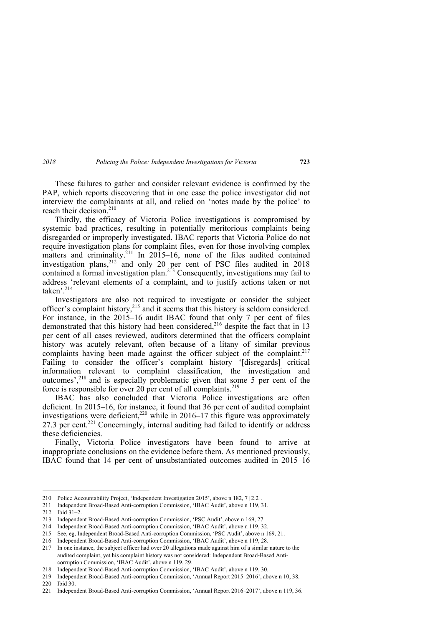*2018 Policing the Police: Independent Investigations for Victoria* **723** 

These failures to gather and consider relevant evidence is confirmed by the PAP, which reports discovering that in one case the police investigator did not interview the complainants at all, and relied on 'notes made by the police' to reach their decision. $210$ 

Thirdly, the efficacy of Victoria Police investigations is compromised by systemic bad practices, resulting in potentially meritorious complaints being disregarded or improperly investigated. IBAC reports that Victoria Police do not require investigation plans for complaint files, even for those involving complex matters and criminality.<sup>211</sup> In 2015–16, none of the files audited contained investigation plans,  $2^{12}$  and only 20 per cent of PSC files audited in 2018 contained a formal investigation plan.<sup>213</sup> Consequently, investigations may fail to address 'relevant elements of a complaint, and to justify actions taken or not taken<sup>, 214</sup>

Investigators are also not required to investigate or consider the subject officer's complaint history,<sup>215</sup> and it seems that this history is seldom considered. For instance, in the 2015–16 audit IBAC found that only 7 per cent of files demonstrated that this history had been considered,<sup>216</sup> despite the fact that in 13 per cent of all cases reviewed, auditors determined that the officers complaint history was acutely relevant, often because of a litany of similar previous complaints having been made against the officer subject of the complaint.<sup>217</sup> Failing to consider the officer's complaint history '[disregards] critical information relevant to complaint classification, the investigation and outcomes',218 and is especially problematic given that some 5 per cent of the force is responsible for over 20 per cent of all complaints.<sup>219</sup>

IBAC has also concluded that Victoria Police investigations are often deficient. In 2015–16, for instance, it found that 36 per cent of audited complaint investigations were deficient,<sup>220</sup> while in 2016–17 this figure was approximately 27.3 per cent.<sup>221</sup> Concerningly, internal auditing had failed to identify or address these deficiencies.

Finally, Victoria Police investigators have been found to arrive at inappropriate conclusions on the evidence before them. As mentioned previously, IBAC found that 14 per cent of unsubstantiated outcomes audited in 2015–16

<sup>210</sup> Police Accountability Project, 'Independent Investigation 2015', above n 182, 7 [2.2].

<sup>211</sup> Independent Broad-Based Anti-corruption Commission, 'IBAC Audit', above n 119, 31.

<sup>212</sup> Ibid 31–2.

<sup>213</sup> Independent Broad-Based Anti-corruption Commission, 'PSC Audit', above n 169, 27.

<sup>214</sup> Independent Broad-Based Anti-corruption Commission, 'IBAC Audit', above n 119, 32.

<sup>215</sup> See, eg, Independent Broad-Based Anti-corruption Commission, 'PSC Audit', above n 169, 21.

<sup>216</sup> Independent Broad-Based Anti-corruption Commission, 'IBAC Audit', above n 119, 28.

<sup>217</sup> In one instance, the subject officer had over 20 allegations made against him of a similar nature to the audited complaint, yet his complaint history was not considered: Independent Broad-Based Anticorruption Commission, 'IBAC Audit', above n 119, 29.

<sup>218</sup> Independent Broad-Based Anti-corruption Commission, 'IBAC Audit', above n 119, 30.

<sup>219</sup> Independent Broad-Based Anti-corruption Commission, 'Annual Report 2015–2016', above n 10, 38. 220 Ibid 30.

<sup>221</sup> Independent Broad-Based Anti-corruption Commission, 'Annual Report 2016–2017', above n 119, 36.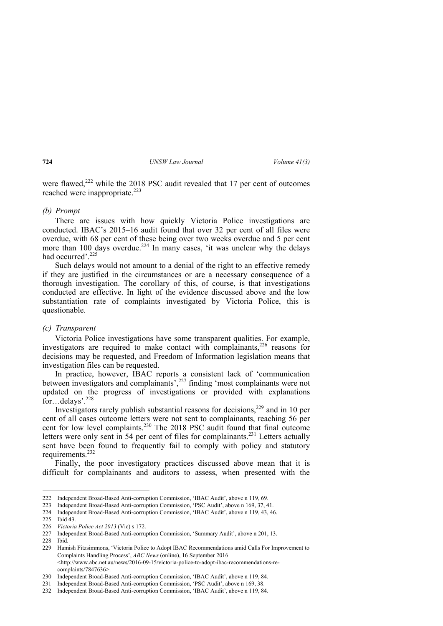were flawed, $222$  while the 2018 PSC audit revealed that 17 per cent of outcomes reached were inappropriate.<sup>223</sup>

## *(b) Prompt*

There are issues with how quickly Victoria Police investigations are conducted. IBAC's 2015–16 audit found that over 32 per cent of all files were overdue, with 68 per cent of these being over two weeks overdue and 5 per cent more than 100 days overdue.<sup>224</sup> In many cases, 'it was unclear why the delays had occurred'.<sup>225</sup>

Such delays would not amount to a denial of the right to an effective remedy if they are justified in the circumstances or are a necessary consequence of a thorough investigation. The corollary of this, of course, is that investigations conducted are effective. In light of the evidence discussed above and the low substantiation rate of complaints investigated by Victoria Police, this is questionable.

#### *(c) Transparent*

Victoria Police investigations have some transparent qualities. For example, investigators are required to make contact with complainants.<sup>226</sup> reasons for decisions may be requested, and Freedom of Information legislation means that investigation files can be requested.

In practice, however, IBAC reports a consistent lack of 'communication between investigators and complainants',<sup>227</sup> finding 'most complainants were not updated on the progress of investigations or provided with explanations for...delays'.<sup>228</sup>

Investigators rarely publish substantial reasons for decisions, $2^{29}$  and in 10 per cent of all cases outcome letters were not sent to complainants, reaching 56 per cent for low level complaints.<sup>230</sup> The 2018 PSC audit found that final outcome letters were only sent in 54 per cent of files for complainants.<sup>231</sup> Letters actually sent have been found to frequently fail to comply with policy and statutory requirements.<sup>232</sup>

Finally, the poor investigatory practices discussed above mean that it is difficult for complainants and auditors to assess, when presented with the

<sup>222</sup> Independent Broad-Based Anti-corruption Commission, 'IBAC Audit', above n 119, 69.

<sup>223</sup> Independent Broad-Based Anti-corruption Commission, 'PSC Audit', above n 169, 37, 41.

<sup>224</sup> Independent Broad-Based Anti-corruption Commission, 'IBAC Audit', above n 119, 43, 46.

<sup>225</sup> Ibid 43.

<sup>226</sup> *Victoria Police Act 2013* (Vic) s 172.

<sup>227</sup> Independent Broad-Based Anti-corruption Commission, 'Summary Audit', above n 201, 13.

<sup>228</sup> Ibid.

<sup>229</sup> Hamish Fitzsimmons, 'Victoria Police to Adopt IBAC Recommendations amid Calls For Improvement to Complaints Handling Process', *ABC News* (online), 16 September 2016 <http://www.abc.net.au/news/2016-09-15/victoria-police-to-adopt-ibac-recommendations-recomplaints/7847636>.

<sup>230</sup> Independent Broad-Based Anti-corruption Commission, 'IBAC Audit', above n 119, 84.

<sup>231</sup> Independent Broad-Based Anti-corruption Commission, 'PSC Audit', above n 169, 38.

<sup>232</sup> Independent Broad-Based Anti-corruption Commission, 'IBAC Audit', above n 119, 84.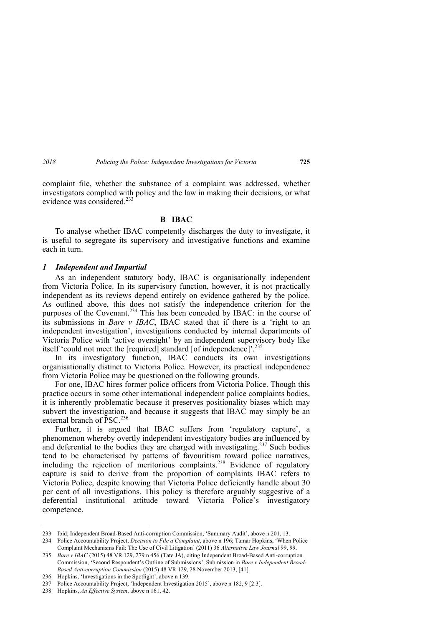complaint file, whether the substance of a complaint was addressed, whether investigators complied with policy and the law in making their decisions, or what evidence was considered  $^{233}$ 

#### **B IBAC**

To analyse whether IBAC competently discharges the duty to investigate, it is useful to segregate its supervisory and investigative functions and examine each in turn.

#### *1 Independent and Impartial*

As an independent statutory body, IBAC is organisationally independent from Victoria Police. In its supervisory function, however, it is not practically independent as its reviews depend entirely on evidence gathered by the police. As outlined above, this does not satisfy the independence criterion for the purposes of the Covenant.<sup>234</sup> This has been conceded by IBAC: in the course of its submissions in *Bare v IBAC*, IBAC stated that if there is a 'right to an independent investigation', investigations conducted by internal departments of Victoria Police with 'active oversight' by an independent supervisory body like itself 'could not meet the [required] standard [of independence]'.235

In its investigatory function, IBAC conducts its own investigations organisationally distinct to Victoria Police. However, its practical independence from Victoria Police may be questioned on the following grounds.

For one, IBAC hires former police officers from Victoria Police. Though this practice occurs in some other international independent police complaints bodies, it is inherently problematic because it preserves positionality biases which may subvert the investigation, and because it suggests that IBAC may simply be an external branch of PSC.<sup>236</sup>

Further, it is argued that IBAC suffers from 'regulatory capture', a phenomenon whereby overtly independent investigatory bodies are influenced by and deferential to the bodies they are charged with investigating.<sup>237</sup> Such bodies tend to be characterised by patterns of favouritism toward police narratives, including the rejection of meritorious complaints.<sup>238</sup> Evidence of regulatory capture is said to derive from the proportion of complaints IBAC refers to Victoria Police, despite knowing that Victoria Police deficiently handle about 30 per cent of all investigations. This policy is therefore arguably suggestive of a deferential institutional attitude toward Victoria Police's investigatory competence.

<sup>233</sup> Ibid; Independent Broad-Based Anti-corruption Commission, 'Summary Audit', above n 201, 13.

<sup>234</sup> Police Accountability Project, *Decision to File a Complaint*, above n 196; Tamar Hopkins, 'When Police Complaint Mechanisms Fail: The Use of Civil Litigation' (2011) 36 *Alternative Law Journal* 99, 99.

<sup>235</sup> *Bare v IBAC* (2015) 48 VR 129, 279 n 456 (Tate JA), citing Independent Broad-Based Anti-corruption Commission, 'Second Respondent's Outline of Submissions', Submission in *Bare v Independent Broad-Based Anti-corruption Commission* (2015) 48 VR 129, 28 November 2013, [41].

<sup>236</sup> Hopkins, 'Investigations in the Spotlight', above n 139.

<sup>237</sup> Police Accountability Project, 'Independent Investigation 2015', above n 182, 9 [2.3].

<sup>238</sup> Hopkins, *An Effective System*, above n 161, 42.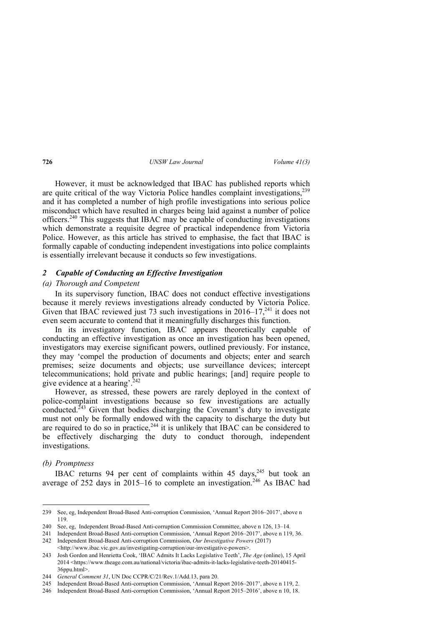However, it must be acknowledged that IBAC has published reports which are quite critical of the way Victoria Police handles complaint investigations,  $239$ and it has completed a number of high profile investigations into serious police misconduct which have resulted in charges being laid against a number of police officers.240 This suggests that IBAC may be capable of conducting investigations which demonstrate a requisite degree of practical independence from Victoria Police. However, as this article has strived to emphasise, the fact that IBAC is formally capable of conducting independent investigations into police complaints is essentially irrelevant because it conducts so few investigations.

## *2 Capable of Conducting an Effective Investigation*

#### *(a) Thorough and Competent*

In its supervisory function, IBAC does not conduct effective investigations because it merely reviews investigations already conducted by Victoria Police. Given that IBAC reviewed just 73 such investigations in  $2016-17$ ,<sup>241</sup> it does not even seem accurate to contend that it meaningfully discharges this function.

In its investigatory function, IBAC appears theoretically capable of conducting an effective investigation as once an investigation has been opened, investigators may exercise significant powers, outlined previously. For instance, they may 'compel the production of documents and objects; enter and search premises; seize documents and objects; use surveillance devices; intercept telecommunications; hold private and public hearings; [and] require people to give evidence at a hearing'.<sup>242</sup>

However, as stressed, these powers are rarely deployed in the context of police-complaint investigations because so few investigations are actually conducted.<sup> $243$ </sup> Given that bodies discharging the Covenant's duty to investigate must not only be formally endowed with the capacity to discharge the duty but are required to do so in practice,<sup>244</sup> it is unlikely that IBAC can be considered to be effectively discharging the duty to conduct thorough, independent investigations.

#### *(b) Promptness*

 $\overline{a}$ 

IBAC returns 94 per cent of complaints within 45 days,  $245$  but took an average of 252 days in 2015–16 to complete an investigation.<sup>246</sup> As IBAC had

<sup>239</sup> See, eg, Independent Broad-Based Anti-corruption Commission, 'Annual Report 2016–2017', above n 119.

<sup>240</sup> See, eg, Independent Broad-Based Anti-corruption Commission Committee, above n 126, 13–14.

<sup>241</sup> Independent Broad-Based Anti-corruption Commission, 'Annual Report 2016–2017', above n 119, 36.

<sup>242</sup> Independent Broad-Based Anti-corruption Commission, *Our Investigative Powers* (2017) <http://www.ibac.vic.gov.au/investigating-corruption/our-investigative-powers>.

<sup>243</sup> Josh Gordon and Henrietta Cook, 'IBAC Admits It Lacks Legislative Teeth', *The Age* (online), 15 April 2014 <https://www.theage.com.au/national/victoria/ibac-admits-it-lacks-legislative-teeth-20140415- 36ppu.html>.

<sup>244</sup> *General Comment 31*, UN Doc CCPR/C/21/Rev.1/Add.13, para 20.

<sup>245</sup> Independent Broad-Based Anti-corruption Commission, 'Annual Report 2016–2017', above n 119, 2.

<sup>246</sup> Independent Broad-Based Anti-corruption Commission, 'Annual Report 2015–2016', above n 10, 18.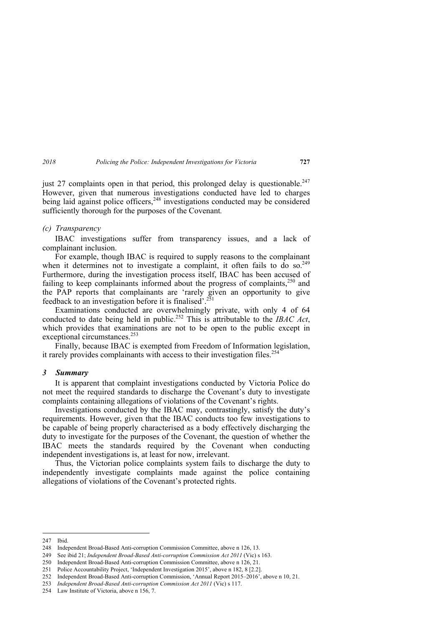just 27 complaints open in that period, this prolonged delay is questionable.<sup>247</sup> However, given that numerous investigations conducted have led to charges being laid against police officers,<sup>248</sup> investigations conducted may be considered sufficiently thorough for the purposes of the Covenant*.* 

#### *(c) Transparency*

IBAC investigations suffer from transparency issues, and a lack of complainant inclusion.

For example, though IBAC is required to supply reasons to the complainant when it determines not to investigate a complaint, it often fails to  $\overline{d}$  so.<sup>249</sup> Furthermore, during the investigation process itself, IBAC has been accused of failing to keep complainants informed about the progress of complaints,  $250$  and the PAP reports that complainants are 'rarely given an opportunity to give feedback to an investigation before it is finalised'.251

Examinations conducted are overwhelmingly private, with only 4 of 64 conducted to date being held in public.252 This is attributable to the *IBAC Act*, which provides that examinations are not to be open to the public except in exceptional circumstances.<sup>253</sup>

Finally, because IBAC is exempted from Freedom of Information legislation, it rarely provides complainants with access to their investigation files.<sup>254</sup>

#### *3 Summary*

It is apparent that complaint investigations conducted by Victoria Police do not meet the required standards to discharge the Covenant's duty to investigate complaints containing allegations of violations of the Covenant's rights.

Investigations conducted by the IBAC may, contrastingly, satisfy the duty's requirements. However, given that the IBAC conducts too few investigations to be capable of being properly characterised as a body effectively discharging the duty to investigate for the purposes of the Covenant, the question of whether the IBAC meets the standards required by the Covenant when conducting independent investigations is, at least for now, irrelevant.

Thus, the Victorian police complaints system fails to discharge the duty to independently investigate complaints made against the police containing allegations of violations of the Covenant's protected rights.

<sup>247</sup> Ibid.

<sup>248</sup> Independent Broad-Based Anti-corruption Commission Committee, above n 126, 13.

<sup>249</sup> See ibid 21; *Independent Broad-Based Anti-corruption Commission Act 2011* (Vic) s 163.

<sup>250</sup> Independent Broad-Based Anti-corruption Commission Committee, above n 126, 21.

<sup>251</sup> Police Accountability Project, 'Independent Investigation 2015', above n 182, 8 [2.2].

<sup>252</sup> Independent Broad-Based Anti-corruption Commission, 'Annual Report 2015–2016', above n 10, 21.

<sup>253</sup> *Independent Broad-Based Anti-corruption Commission Act 2011* (Vic) s 117.

<sup>254</sup> Law Institute of Victoria, above n 156, 7.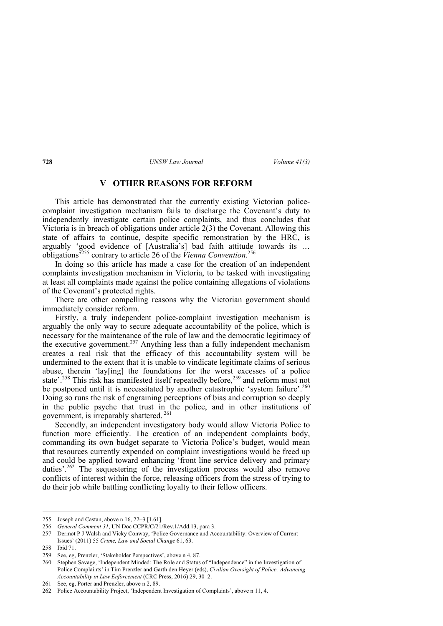# **V OTHER REASONS FOR REFORM**

This article has demonstrated that the currently existing Victorian policecomplaint investigation mechanism fails to discharge the Covenant's duty to independently investigate certain police complaints, and thus concludes that Victoria is in breach of obligations under article 2(3) the Covenant. Allowing this state of affairs to continue, despite specific remonstration by the HRC, is arguably 'good evidence of [Australia's] bad faith attitude towards its … obligations'255 contrary to article 26 of the *Vienna Convention*. 256

In doing so this article has made a case for the creation of an independent complaints investigation mechanism in Victoria, to be tasked with investigating at least all complaints made against the police containing allegations of violations of the Covenant's protected rights.

There are other compelling reasons why the Victorian government should immediately consider reform.

Firstly, a truly independent police-complaint investigation mechanism is arguably the only way to secure adequate accountability of the police, which is necessary for the maintenance of the rule of law and the democratic legitimacy of the executive government.<sup>257</sup> Anything less than a fully independent mechanism creates a real risk that the efficacy of this accountability system will be undermined to the extent that it is unable to vindicate legitimate claims of serious abuse, therein 'lay[ing] the foundations for the worst excesses of a police state<sup>'.258</sup> This risk has manifested itself repeatedly before,<sup>259</sup> and reform must not be postponed until it is necessitated by another catastrophic 'system failure'.<sup>260</sup> Doing so runs the risk of engraining perceptions of bias and corruption so deeply in the public psyche that trust in the police, and in other institutions of government, is irreparably shattered. 261

Secondly, an independent investigatory body would allow Victoria Police to function more efficiently. The creation of an independent complaints body, commanding its own budget separate to Victoria Police's budget, would mean that resources currently expended on complaint investigations would be freed up and could be applied toward enhancing 'front line service delivery and primary duties'.<sup>262</sup> The sequestering of the investigation process would also remove conflicts of interest within the force, releasing officers from the stress of trying to do their job while battling conflicting loyalty to their fellow officers.

<sup>255</sup> Joseph and Castan, above n 16, 22–3 [1.61].

<sup>256</sup> *General Comment 31*, UN Doc CCPR/C/21/Rev.1/Add.13, para 3.

<sup>257</sup> Dermot P J Walsh and Vicky Conway, 'Police Governance and Accountability: Overview of Current Issues' (2011) 55 *Crime, Law and Social Change* 61, 63.

<sup>258</sup> Ibid 71.

<sup>259</sup> See, eg, Prenzler, 'Stakeholder Perspectives', above n 4, 87.

<sup>260</sup> Stephen Savage, 'Independent Minded: The Role and Status of "Independence" in the Investigation of Police Complaints' in Tim Prenzler and Garth den Heyer (eds), *Civilian Oversight of Police: Advancing Accountability in Law Enforcement* (CRC Press, 2016) 29, 30–2.

<sup>261</sup> See, eg, Porter and Prenzler, above n 2, 89.

<sup>262</sup> Police Accountability Project, 'Independent Investigation of Complaints', above n 11, 4.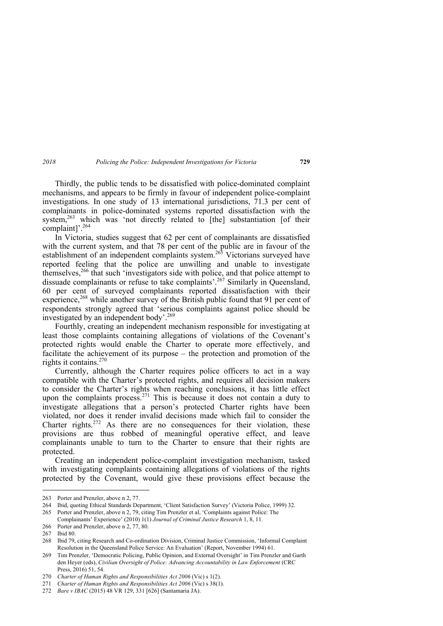Thirdly, the public tends to be dissatisfied with police-dominated complaint mechanisms, and appears to be firmly in favour of independent police-complaint investigations. In one study of 13 international jurisdictions, 71.3 per cent of complainants in police-dominated systems reported dissatisfaction with the system.<sup>263</sup> which was 'not directly related to [the] substantiation [of their complaint]'.264

In Victoria, studies suggest that 62 per cent of complainants are dissatisfied with the current system, and that 78 per cent of the public are in favour of the establishment of an independent complaints system.<sup>265</sup> Victorians surveyed have reported feeling that the police are unwilling and unable to investigate themselves,<sup>266</sup> that such 'investigators side with police, and that police attempt to dissuade complainants or refuse to take complaints'.<sup>267</sup> Similarly in Queensland, 60 per cent of surveyed complainants reported dissatisfaction with their experience,<sup>268</sup> while another survey of the British public found that 91 per cent of respondents strongly agreed that 'serious complaints against police should be investigated by an independent body'.269

Fourthly, creating an independent mechanism responsible for investigating at least those complaints containing allegations of violations of the Covenant's protected rights would enable the Charter to operate more effectively, and facilitate the achievement of its purpose – the protection and promotion of the rights it contains.<sup>270</sup>

Currently, although the Charter requires police officers to act in a way compatible with the Charter's protected rights, and requires all decision makers to consider the Charter's rights when reaching conclusions, it has little effect upon the complaints process.<sup>271</sup> This is because it does not contain a duty to investigate allegations that a person's protected Charter rights have been violated, nor does it render invalid decisions made which fail to consider the Charter rights. $272$  As there are no consequences for their violation, these provisions are thus robbed of meaningful operative effect, and leave complainants unable to turn to the Charter to ensure that their rights are protected.

Creating an independent police-complaint investigation mechanism, tasked with investigating complaints containing allegations of violations of the rights protected by the Covenant, would give these provisions effect because the

<sup>263</sup> Porter and Prenzler, above n 2, 77.

<sup>264</sup> Ibid, quoting Ethical Standards Department, 'Client Satisfaction Survey' (Victoria Police, 1999) 32.

<sup>265</sup> Porter and Prenzler, above n 2, 79, citing Tim Prenzler et al, 'Complaints against Police: The Complainants' Experience' (2010) 1(1) *Journal of Criminal Justice Research* 1, 8, 11.

<sup>266</sup> Porter and Prenzler, above n 2, 77, 80.

<sup>267</sup> Ibid 80.

<sup>268</sup> Ibid 79, citing Research and Co-ordination Division, Criminal Justice Commission, 'Informal Complaint Resolution in the Queensland Police Service: An Evaluation' (Report, November 1994) 61.

<sup>269</sup> Tim Prenzler, 'Democratic Policing, Public Opinion, and External Oversight' in Tim Prenzler and Garth den Heyer (eds), *Civilian Oversight of Police: Advancing Accountability in Law Enforcement* (CRC Press, 2016) 51, 54.

<sup>270</sup> *Charter of Human Rights and Responsibilities Act 2006* (Vic) s 1(2).

<sup>271</sup> *Charter of Human Rights and Responsibilities Act 2006* (Vic) s 38(1).

<sup>272</sup> *Bare v IBAC* (2015) 48 VR 129, 331 [626] (Santamaria JA).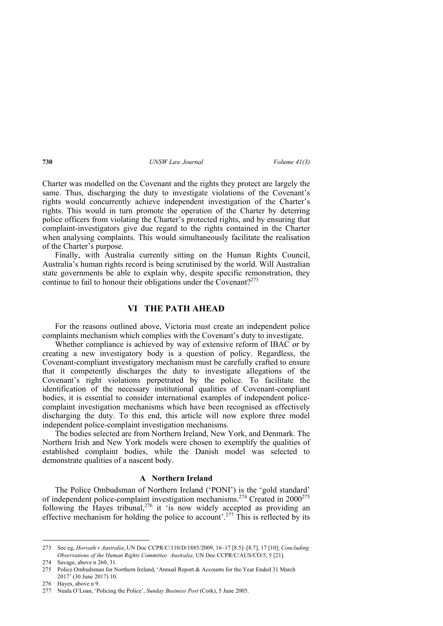Charter was modelled on the Covenant and the rights they protect are largely the same. Thus, discharging the duty to investigate violations of the Covenant's rights would concurrently achieve independent investigation of the Charter's rights. This would in turn promote the operation of the Charter by deterring police officers from violating the Charter's protected rights, and by ensuring that complaint-investigators give due regard to the rights contained in the Charter when analysing complaints. This would simultaneously facilitate the realisation of the Charter's purpose.

Finally, with Australia currently sitting on the Human Rights Council, Australia's human rights record is being scrutinised by the world. Will Australian state governments be able to explain why, despite specific remonstration, they continue to fail to honour their obligations under the Covenant?<sup>273</sup>

## **VI THE PATH AHEAD**

For the reasons outlined above, Victoria must create an independent police complaints mechanism which complies with the Covenant's duty to investigate.

Whether compliance is achieved by way of extensive reform of IBAC or by creating a new investigatory body is a question of policy. Regardless, the Covenant-compliant investigatory mechanism must be carefully crafted to ensure that it competently discharges the duty to investigate allegations of the Covenant's right violations perpetrated by the police. To facilitate the identification of the necessary institutional qualities of Covenant-compliant bodies, it is essential to consider international examples of independent policecomplaint investigation mechanisms which have been recognised as effectively discharging the duty. To this end, this article will now explore three model independent police-complaint investigation mechanisms.

The bodies selected are from Northern Ireland, New York, and Denmark. The Northern Irish and New York models were chosen to exemplify the qualities of established complaint bodies, while the Danish model was selected to demonstrate qualities of a nascent body.

#### **A Northern Ireland**

The Police Ombudsman of Northern Ireland ('PONI') is the 'gold standard' of independent police-complaint investigation mechanisms.<sup>274</sup> Created in  $2000^{275}$ following the Hayes tribunal,<sup>276</sup> it 'is now widely accepted as providing an effective mechanism for holding the police to account'.<sup>277</sup> This is reflected by its

<sup>273</sup> See eg, *Horvath v Australia*, UN Doc CCPR/C/110/D/1885/2009, 16–17 [8.5]–[8.7], 17 [10]; *Concluding Observations of the Human Rights Committee: Australia*, UN Doc CCPR/C/AUS/CO/5, 5 [21].

<sup>274</sup> Savage, above n 260, 31.

<sup>275</sup> Police Ombudsman for Northern Ireland, 'Annual Report & Accounts for the Year Ended 31 March 2017' (30 June 2017) 10.

<sup>276</sup> Hayes, above n 9.

<sup>277</sup> Nuala O'Loan, 'Policing the Police', *Sunday Business Post* (Cork), 5 June 2005.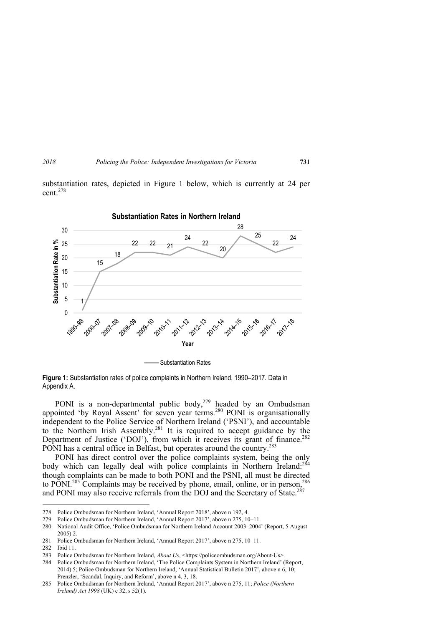substantiation rates, depicted in Figure 1 below, which is currently at 24 per  $cent<sup>278</sup>$ 



**Figure 1:** Substantiation rates of police complaints in Northern Ireland, 1990–2017. Data in Appendix A.

PONI is a non-departmental public body, $279$  headed by an Ombudsman appointed 'by Royal Assent' for seven year terms.<sup>280</sup> PONI is organisationally independent to the Police Service of Northern Ireland ('PSNI'), and accountable to the Northern Irish Assembly.<sup>281</sup> It is required to accept guidance by the Department of Justice ('DOJ'), from which it receives its grant of finance.<sup>282</sup> PONI has a central office in Belfast, but operates around the country.<sup>283</sup>

PONI has direct control over the police complaints system, being the only body which can legally deal with police complaints in Northern Ireland:<sup>284</sup> though complaints can be made to both PONI and the PSNI, all must be directed to PONI.<sup>285</sup> Complaints may be received by phone, email, online, or in person,  $^{286}$ and PONI may also receive referrals from the DOJ and the Secretary of State.<sup>287</sup>

<sup>278</sup> Police Ombudsman for Northern Ireland, 'Annual Report 2018', above n 192, 4.

<sup>279</sup> Police Ombudsman for Northern Ireland, 'Annual Report 2017', above n 275, 10–11.

<sup>280</sup> National Audit Office, 'Police Ombudsman for Northern Ireland Account 2003–2004' (Report, 5 August 2005) 2.

<sup>281</sup> Police Ombudsman for Northern Ireland, 'Annual Report 2017', above n 275, 10–11.

<sup>282</sup> Ibid 11.

<sup>283</sup> Police Ombudsman for Northern Ireland, *About Us*, <https://policeombudsman.org/About-Us>.

<sup>284</sup> Police Ombudsman for Northern Ireland, 'The Police Complaints System in Northern Ireland' (Report, 2014) 5; Police Ombudsman for Northern Ireland, 'Annual Statistical Bulletin 2017', above n 6, 10; Prenzler, 'Scandal, Inquiry, and Reform', above n 4, 3, 18.

<sup>285</sup> Police Ombudsman for Northern Ireland, 'Annual Report 2017', above n 275, 11; *Police (Northern Ireland) Act 1998* (UK) c 32, s 52(1).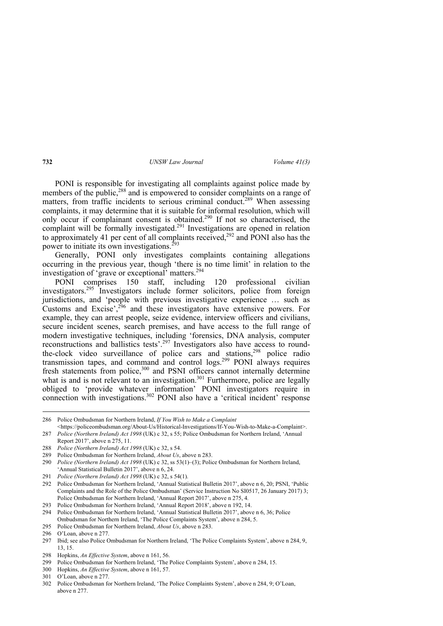PONI is responsible for investigating all complaints against police made by members of the public,<sup>288</sup> and is empowered to consider complaints on a range of matters, from traffic incidents to serious criminal conduct.<sup>289</sup> When assessing complaints, it may determine that it is suitable for informal resolution, which will only occur if complainant consent is obtained.<sup>290</sup> If not so characterised, the complaint will be formally investigated.<sup>291</sup> Investigations are opened in relation to approximately 41 per cent of all complaints received,  $292$  and PONI also has the power to initiate its own investigations.<sup>293</sup>

Generally, PONI only investigates complaints containing allegations occurring in the previous year, though 'there is no time limit' in relation to the investigation of 'grave or exceptional' matters.<sup>294</sup>

PONI comprises 150 staff, including 120 professional civilian investigators.295 Investigators include former solicitors, police from foreign jurisdictions, and 'people with previous investigative experience … such as Customs and Excise',<sup>296</sup> and these investigators have extensive powers. For example, they can arrest people, seize evidence, interview officers and civilians, secure incident scenes, search premises, and have access to the full range of modern investigative techniques, including 'forensics, DNA analysis, computer reconstructions and ballistics tests'.297 Investigators also have access to roundthe-clock video surveillance of police cars and stations,<sup>298</sup> police radio transmission tapes, and command and control logs.299 PONI always requires fresh statements from police,<sup>300</sup> and PSNI officers cannot internally determine what is and is not relevant to an investigation.<sup>301</sup> Furthermore, police are legally obliged to 'provide whatever information' PONI investigators require in connection with investigations.<sup>302</sup> PONI also have a 'critical incident' response

<sup>286</sup> Police Ombudsman for Northern Ireland, *If You Wish to Make a Complaint*

<sup>&</sup>lt;https://policeombudsman.org/About-Us/Historical-Investigations/If-You-Wish-to-Make-a-Complaint>. 287 *Police (Northern Ireland) Act 1998* (UK) c 32, s 55; Police Ombudsman for Northern Ireland, 'Annual Report 2017', above n 275, 11.

<sup>288</sup> *Police (Northern Ireland) Act 1998* (UK) c 32, s 54.

<sup>289</sup> Police Ombudsman for Northern Ireland, *About Us*, above n 283.

<sup>290</sup> *Police (Northern Ireland) Act 1998* (UK) c 32, ss 53(1)–(3); Police Ombudsman for Northern Ireland, 'Annual Statistical Bulletin 2017', above n 6, 24.

<sup>291</sup> *Police (Northern Ireland) Act 1998* (UK) c 32, s 54(1).

<sup>292</sup> Police Ombudsman for Northern Ireland, 'Annual Statistical Bulletin 2017', above n 6, 20; PSNI, 'Public Complaints and the Role of the Police Ombudsman' (Service Instruction No SI0517, 26 January 2017) 3; Police Ombudsman for Northern Ireland, 'Annual Report 2017', above n 275, 4*.*

<sup>293</sup> Police Ombudsman for Northern Ireland, 'Annual Report 2018', above n 192, 14.

<sup>294</sup> Police Ombudsman for Northern Ireland, 'Annual Statistical Bulletin 2017', above n 6, 36; Police Ombudsman for Northern Ireland, 'The Police Complaints System', above n 284, 5.

<sup>295</sup> Police Ombudsman for Northern Ireland, *About Us*, above n 283.

<sup>296</sup> O'Loan, above n 277.

<sup>297</sup> Ibid; see also Police Ombudsman for Northern Ireland, 'The Police Complaints System', above n 284, 9, 13, 15.

<sup>298</sup> Hopkins, *An Effective System*, above n 161, 56.

<sup>299</sup> Police Ombudsman for Northern Ireland, 'The Police Complaints System', above n 284, 15.

<sup>300</sup> Hopkins, *An Effective System*, above n 161, 57.

<sup>301</sup> O'Loan, above n 277.

<sup>302</sup> Police Ombudsman for Northern Ireland, 'The Police Complaints System', above n 284, 9; O'Loan, above n 277.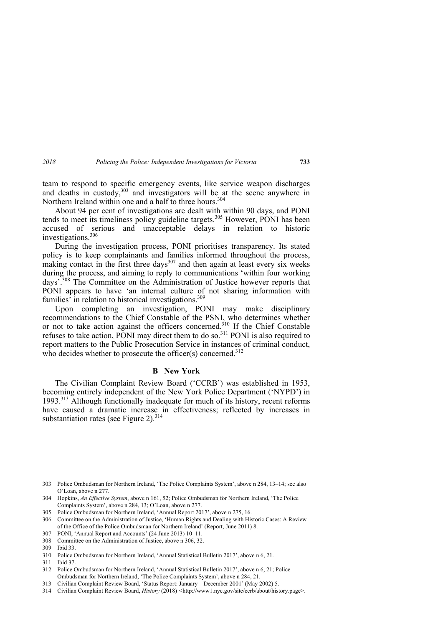team to respond to specific emergency events, like service weapon discharges and deaths in custody, $303$  and investigators will be at the scene anywhere in Northern Ireland within one and a half to three hours.<sup>304</sup>

About 94 per cent of investigations are dealt with within 90 days, and PONI tends to meet its timeliness policy guideline targets.<sup>305</sup> However, PONI has been accused of serious and unacceptable delays in relation to historic investigations.306

During the investigation process, PONI prioritises transparency. Its stated policy is to keep complainants and families informed throughout the process, making contact in the first three days $307$  and then again at least every six weeks during the process, and aiming to reply to communications 'within four working days'.308 The Committee on the Administration of Justice however reports that PONI appears to have 'an internal culture of not sharing information with families' in relation to historical investigations.<sup>309</sup>

Upon completing an investigation, PONI may make disciplinary recommendations to the Chief Constable of the PSNI, who determines whether or not to take action against the officers concerned.<sup>310</sup> If the Chief Constable refuses to take action, PONI may direct them to do so.311 PONI is also required to report matters to the Public Prosecution Service in instances of criminal conduct, who decides whether to prosecute the officer(s) concerned.<sup>312</sup>

#### **B New York**

The Civilian Complaint Review Board ('CCRB') was established in 1953, becoming entirely independent of the New York Police Department ('NYPD') in 1993.313 Although functionally inadequate for much of its history, recent reforms have caused a dramatic increase in effectiveness; reflected by increases in substantiation rates (see Figure 2). $^{314}$ 

<sup>303</sup> Police Ombudsman for Northern Ireland, 'The Police Complaints System', above n 284, 13–14; see also O'Loan, above n 277.

<sup>304</sup> Hopkins, *An Effective System*, above n 161, 52; Police Ombudsman for Northern Ireland, 'The Police Complaints System', above n 284, 13; O'Loan, above n 277.

<sup>305</sup> Police Ombudsman for Northern Ireland, 'Annual Report 2017', above n 275, 16.

<sup>306</sup> Committee on the Administration of Justice, 'Human Rights and Dealing with Historic Cases: A Review of the Office of the Police Ombudsman for Northern Ireland' (Report, June 2011) 8.

<sup>307</sup> PONI, 'Annual Report and Accounts' (24 June 2013) 10–11.

<sup>308</sup> Committee on the Administration of Justice, above n 306, 32.

<sup>309</sup> Ibid 33.

<sup>310</sup> Police Ombudsman for Northern Ireland, 'Annual Statistical Bulletin 2017', above n 6, 21.

<sup>311</sup> Ibid 37.

<sup>312</sup> Police Ombudsman for Northern Ireland, 'Annual Statistical Bulletin 2017', above n 6, 21; Police Ombudsman for Northern Ireland, 'The Police Complaints System', above n 284, 21.

<sup>313</sup> Civilian Complaint Review Board, 'Status Report: January – December 2001' (May 2002) 5.

<sup>314</sup> Civilian Complaint Review Board, *History* (2018) *<*http://www1.nyc.gov/site/ccrb/about/history.page>.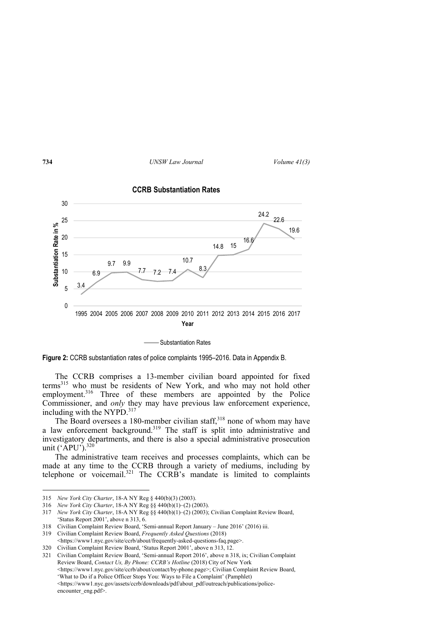

**CCRB Substantiation Rates**

Substantiation Rates

**Figure 2:** CCRB substantiation rates of police complaints 1995–2016. Data in Appendix B.

The CCRB comprises a 13-member civilian board appointed for fixed terms315 who must be residents of New York, and who may not hold other employment.<sup>316</sup> Three of these members are appointed by the Police Commissioner, and *only* they may have previous law enforcement experience, including with the NYPD.<sup>317</sup>

The Board oversees a 180-member civilian staff,<sup>318</sup> none of whom may have a law enforcement background.<sup>319</sup> The staff is split into administrative and investigatory departments, and there is also a special administrative prosecution unit (' $APU$ ').<sup>320</sup>

The administrative team receives and processes complaints, which can be made at any time to the CCRB through a variety of mediums, including by telephone or voicemail.<sup>321</sup> The CCRB's mandate is limited to complaints

320 Civilian Complaint Review Board, 'Status Report 2001', above n 313, 12.

321 Civilian Complaint Review Board, 'Semi-annual Report 2016', above n 318, ix; Civilian Complaint Review Board, *Contact Us, By Phone: CCRB's Hotline* (2018) City of New York <https://www1.nyc.gov/site/ccrb/about/contact/by-phone.page>; Civilian Complaint Review Board, 'What to Do if a Police Officer Stops You: Ways to File a Complaint' (Pamphlet) <https://www1.nyc.gov/assets/ccrb/downloads/pdf/about\_pdf/outreach/publications/policeencounter\_eng.pdf>.

<sup>315</sup> *New York City Charter*, 18-A NY Reg § 440(b)(3) (2003).

<sup>316</sup> *New York City Charter*, 18-A NY Reg §§ 440(b)(1)–(2) (2003).

<sup>317</sup> *New York City Charter*, 18-A NY Reg §§ 440(b)(1)–(2) (2003); Civilian Complaint Review Board, 'Status Report 2001', above n 313, 6.

<sup>318</sup> Civilian Complaint Review Board, 'Semi-annual Report January – June 2016' (2016) iii.

<sup>319</sup> Civilian Complaint Review Board, *Frequently Asked Questions* (2018)

<sup>&</sup>lt;https://www1.nyc.gov/site/ccrb/about/frequently-asked-questions-faq.page>.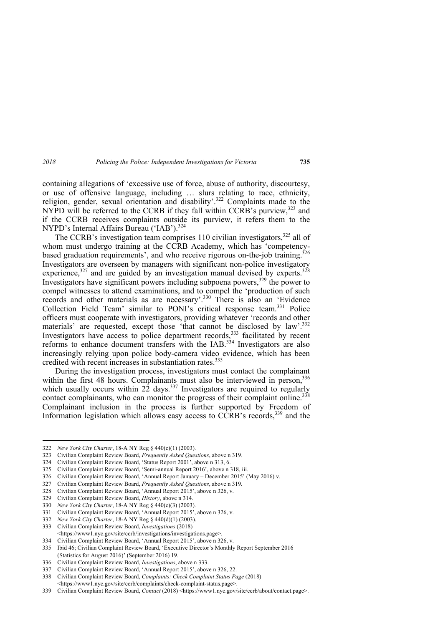containing allegations of 'excessive use of force, abuse of authority, discourtesy, or use of offensive language, including … slurs relating to race, ethnicity, religion, gender, sexual orientation and disability'.322 Complaints made to the NYPD will be referred to the CCRB if they fall within CCRB's purview,<sup>323</sup> and if the CCRB receives complaints outside its purview, it refers them to the NYPD's Internal Affairs Bureau ('IAB').<sup>324</sup>

The CCRB's investigation team comprises 110 civilian investigators,  $325$  all of whom must undergo training at the CCRB Academy, which has 'competencybased graduation requirements', and who receive rigorous on-the-job training.<sup>326</sup> Investigators are overseen by managers with significant non-police investigatory experience, $327$  and are guided by an investigation manual devised by experts. $328$ Investigators have significant powers including subpoena powers, $329$  the power to compel witnesses to attend examinations, and to compel the 'production of such records and other materials as are necessary'.<sup>330</sup> There is also an 'Evidence Collection Field Team' similar to PONI's critical response team.<sup>331</sup> Police officers must cooperate with investigators, providing whatever 'records and other materials' are requested, except those 'that cannot be disclosed by law'.<sup>332</sup> Investigators have access to police department records,<sup>333</sup> facilitated by recent reforms to enhance document transfers with the IAB.334 Investigators are also increasingly relying upon police body-camera video evidence, which has been credited with recent increases in substantiation rates.<sup>335</sup>

During the investigation process, investigators must contact the complainant within the first 48 hours. Complainants must also be interviewed in person, 336 which usually occurs within  $2\overline{2}$  days.<sup>337</sup> Investigators are required to regularly contact complainants, who can monitor the progress of their complaint online.<sup>338</sup> Complainant inclusion in the process is further supported by Freedom of Information legislation which allows easy access to  $\overline{CCRB}$ 's records,  $339$  and the

<sup>322</sup> *New York City Charter*, 18-A NY Reg § 440(c)(1) (2003).

<sup>323</sup> Civilian Complaint Review Board, *Frequently Asked Questions*, above n 319.

<sup>324</sup> Civilian Complaint Review Board, 'Status Report 2001', above n 313, 6.

<sup>325</sup> Civilian Complaint Review Board, 'Semi-annual Report 2016', above n 318, iii.

<sup>326</sup> Civilian Complaint Review Board, 'Annual Report January – December 2015' (May 2016) v.

<sup>327</sup> Civilian Complaint Review Board, *Frequently Asked Questions*, above n 319*.* 

<sup>328</sup> Civilian Complaint Review Board, 'Annual Report 2015', above n 326, v.

<sup>329</sup> Civilian Complaint Review Board, *History*, above n 314.

<sup>330</sup> *New York City Charter*, 18-A NY Reg § 440(c)(3) (2003).

<sup>331</sup> Civilian Complaint Review Board, 'Annual Report 2015', above n 326, v.

<sup>332</sup> *New York City Charter*, 18-A NY Reg § 440(d)(1) (2003).

<sup>333</sup> Civilian Complaint Review Board, *Investigations* (2018) <https://www1.nyc.gov/site/ccrb/investigations/investigations.page>.

<sup>334</sup> Civilian Complaint Review Board, 'Annual Report 2015', above n 326, v.

<sup>335</sup> Ibid 46; Civilian Complaint Review Board, 'Executive Director's Monthly Report September 2016 (Statistics for August 2016)' (September 2016) 19.

<sup>336</sup> Civilian Complaint Review Board, *Investigations*, above n 333.

<sup>337</sup> Civilian Complaint Review Board, 'Annual Report 2015', above n 326, 22.

<sup>338</sup> Civilian Complaint Review Board, *Complaints: Check Complaint Status Page* (2018) <https://www1.nyc.gov/site/ccrb/complaints/check-complaint-status.page>.

<sup>339</sup> Civilian Complaint Review Board, *Contact* (2018) <https://www1.nyc.gov/site/ccrb/about/contact.page>.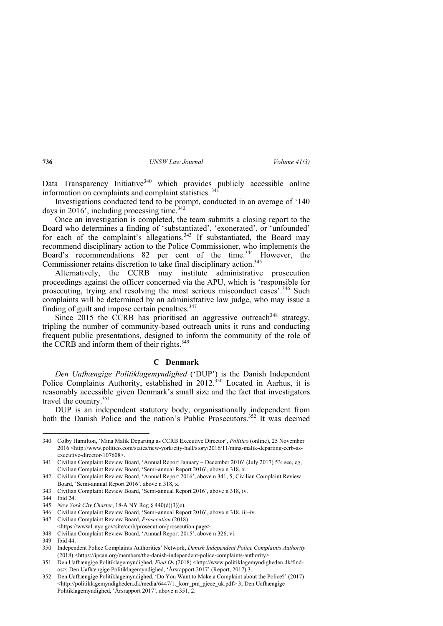Data Transparency Initiative<sup>340</sup> which provides publicly accessible online information on complaints and complaint statistics. 341

Investigations conducted tend to be prompt, conducted in an average of '140 days in 2016', including processing time. $342$ 

Once an investigation is completed, the team submits a closing report to the Board who determines a finding of 'substantiated', 'exonerated', or 'unfounded' for each of the complaint's allegations.<sup>343</sup> If substantiated, the Board may recommend disciplinary action to the Police Commissioner, who implements the Board's recommendations 82 per cent of the time.<sup>344</sup> However, the Commissioner retains discretion to take final disciplinary action.<sup>345</sup>

Alternatively, the CCRB may institute administrative prosecution proceedings against the officer concerned via the APU, which is 'responsible for prosecuting, trying and resolving the most serious misconduct cases'.<sup>346</sup> Such complaints will be determined by an administrative law judge, who may issue a finding of guilt and impose certain penalties. $347$ 

Since  $2015$  the CCRB has prioritised an aggressive outreach<sup>348</sup> strategy. tripling the number of community-based outreach units it runs and conducting frequent public presentations, designed to inform the community of the role of the CCRB and inform them of their rights.<sup>349</sup>

#### **C Denmark**

*Den Uafhængige Politiklagemyndighed* ('DUP') is the Danish Independent Police Complaints Authority, established in 2012.<sup>350</sup> Located in Aarhus, it is reasonably accessible given Denmark's small size and the fact that investigators travel the country.351

DUP is an independent statutory body, organisationally independent from both the Danish Police and the nation's Public Prosecutors.<sup>352</sup> It was deemed

<sup>340</sup> Colby Hamilton, 'Mina Malik Departing as CCRB Executive Director', *Politico* (online), 25 November 2016 <http://www.politico.com/states/new-york/city-hall/story/2016/11/mina-malik-departing-ccrb-asexecutive-director-107608>.

<sup>341</sup> Civilian Complaint Review Board, 'Annual Report January – December 2016' (July 2017) 53; see, eg, Civilian Complaint Review Board, 'Semi-annual Report 2016', above n 318, x.

<sup>342</sup> Civilian Complaint Review Board, 'Annual Report 2016', above n 341, 5; Civilian Complaint Review Board, 'Semi-annual Report 2016', above n 318, x.

<sup>343</sup> Civilian Complaint Review Board, 'Semi-annual Report 2016', above n 318, iv.

<sup>344</sup> Ibid 24.

<sup>345</sup> *New York City Charter*, 18-A NY Reg § 440(d)(3)(e).

<sup>346</sup> Civilian Complaint Review Board, 'Semi-annual Report 2016', above n 318, iii–iv.

<sup>347</sup> Civilian Complaint Review Board, *Prosecution* (2018) <https://www1.nyc.gov/site/ccrb/prosecution/prosecution.page>.

<sup>348</sup> Civilian Complaint Review Board, 'Annual Report 2015', above n 326, vi.

<sup>349</sup> Ibid 44.

<sup>350</sup> Independent Police Complaints Authorities' Network, *Danish Independent Police Complaints Authority* (2018) <https://ipcan.org/members/the-danish-independent-police-complaints-authority>.

<sup>351</sup> Den Uafhængige Politiklagemyndighed, *Find Os* (2018) <http://www.politiklagemyndigheden.dk/findos>; Den Uafhængige Politiklagemyndighed, 'Årsrapport 2017' (Report, 2017) 3.

<sup>352</sup> Den Uafhængige Politiklagemyndighed, 'Do You Want to Make a Complaint about the Police?' (2017) <http://politiklagemyndigheden.dk/media/6447/1.\_korr\_pm\_pjece\_uk.pdf> 3; Den Uafhængige Politiklagemyndighed, 'Årsrapport 2017', above n 351, 2.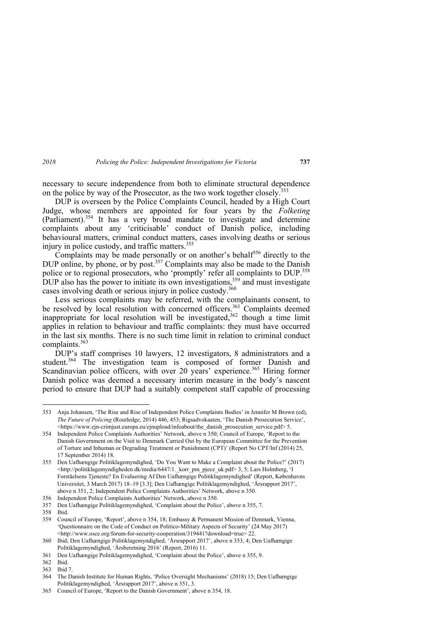necessary to secure independence from both to eliminate structural dependence on the police by way of the Prosecutor, as the two work together closely.<sup>353</sup>

DUP is overseen by the Police Complaints Council, headed by a High Court Judge, whose members are appointed for four years by the *Folketing*  (Parliament).354 It has a very broad mandate to investigate and determine complaints about any 'criticisable' conduct of Danish police, including behavioural matters, criminal conduct matters, cases involving deaths or serious injury in police custody, and traffic matters.<sup>355</sup>

Complaints may be made personally or on another's behalf<sup>356</sup> directly to the DUP online, by phone, or by post.<sup>357</sup> Complaints may also be made to the Danish police or to regional prosecutors, who 'promptly' refer all complaints to DUP.<sup>358</sup> DUP also has the power to initiate its own investigations,  $359$  and must investigate cases involving death or serious injury in police custody.<sup>360</sup>

Less serious complaints may be referred, with the complainants consent, to be resolved by local resolution with concerned officers.<sup>361</sup> Complaints deemed inappropriate for local resolution will be investigated, $362$  though a time limit applies in relation to behaviour and traffic complaints: they must have occurred in the last six months. There is no such time limit in relation to criminal conduct complaints.363

DUP's staff comprises 10 lawyers, 12 investigators, 8 administrators and a student.<sup>364</sup> The investigation team is composed of former Danish and Scandinavian police officers, with over 20 years' experience.<sup>365</sup> Hiring former Danish police was deemed a necessary interim measure in the body's nascent period to ensure that DUP had a suitably competent staff capable of processing

<sup>353</sup> Anja Johansen, 'The Rise and Rise of Independent Police Complaints Bodies' in Jennifer M Brown (ed), *The Future of Policing* (Routledge, 2014) 446, 453; Rigsadvokaaten, 'The Danish Prosecution Service', <https://www.ejn-crimjust.europa.eu/ejnupload/infoabout/the\_danish\_prosecution\_service.pdf> 5.

<sup>354</sup> Independent Police Complaints Authorities' Network, above n 350; Council of Europe, 'Report to the Danish Government on the Visit to Denmark Carried Out by the European Committee for the Prevention of Torture and Inhuman or Degrading Treatment or Punishment (CPT)' (Report No CPT/Inf (2014) 25, 17 September 2014) 18.

<sup>355</sup> Den Uafhængige Politiklagemyndighed, 'Do You Want to Make a Complaint about the Police?' (2017) <http://politiklagemyndigheden.dk/media/6447/1. korr\_pm\_pjece\_uk.pdf> 3, 5; Lars Holmberg, 'I Forståelsens Tjeneste? En Evaluering Af Den Uafhængige Politiklagemyndighed' (Report, Københavns Universitet, 3 March 2017) 18–19 [3.3]; Den Uafhængige Politiklagemyndighed, 'Årsrapport 2017', above n 351, 2; Independent Police Complaints Authorities' Network, above n 350.

<sup>356</sup> Independent Police Complaints Authorities' Network, above n 350.

<sup>357</sup> Den Uafhængige Politiklagemyndighed, 'Complaint about the Police', above n 355, 7.

<sup>358</sup> Ibid.

<sup>359</sup> Council of Europe, 'Report', above n 354, 18; Embassy & Permanent Mission of Denmark, Vienna, 'Questionnaire on the Code of Conduct on Politico-Military Aspects of Security' (24 May 2017) <http://www.osce.org/forum-for-security-cooperation/319441?download=true> 22.

<sup>360</sup> Ibid; Den Uafhængige Politiklagemyndighed, 'Årsrapport 2017', above n 353, 4; Den Uafhængige Politiklagemyndighed, 'Årsberetning 2016' (Report, 2016) 11.

<sup>361</sup> Den Uafhængige Politiklagemyndighed, 'Complaint about the Police', above n 355, 9.

<sup>362</sup> Ibid.

<sup>363</sup> Ibid 7.

<sup>364</sup> The Danish Institute for Human Rights, 'Police Oversight Mechanisms' (2018) 15; Den Uafhængige Politiklagemyndighed, 'Årsrapport 2017', above n 351, 3.

<sup>365</sup> Council of Europe, 'Report to the Danish Government', above n 354, 18.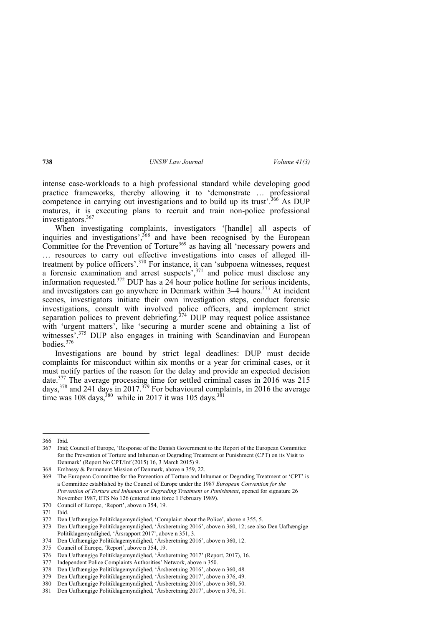intense case-workloads to a high professional standard while developing good practice frameworks, thereby allowing it to 'demonstrate … professional competence in carrying out investigations and to build up its trust'.<sup>366</sup> As DUP matures, it is executing plans to recruit and train non-police professional investigators.367

When investigating complaints, investigators '[handle] all aspects of inquiries and investigations',  $368$  and have been recognised by the European Committee for the Prevention of Torture<sup>369</sup> as having all 'necessary powers and … resources to carry out effective investigations into cases of alleged illtreatment by police officers'.<sup>370</sup> For instance, it can 'subpoena witnesses, request a forensic examination and arrest suspects',<sup>371</sup> and police must disclose any information requested.372 DUP has a 24 hour police hotline for serious incidents, and investigators can go anywhere in Denmark within  $3-4$  hours.<sup>373</sup> At incident scenes, investigators initiate their own investigation steps, conduct forensic investigations, consult with involved police officers, and implement strict separation polices to prevent debriefing.<sup>374</sup> DUP may request police assistance with 'urgent matters', like 'securing a murder scene and obtaining a list of witnesses<sup>'</sup>.<sup>375</sup> DUP also engages in training with Scandinavian and European bodies $376$ 

Investigations are bound by strict legal deadlines: DUP must decide complaints for misconduct within six months or a year for criminal cases, or it must notify parties of the reason for the delay and provide an expected decision date.377 The average processing time for settled criminal cases in 2016 was 215 days,<sup>378</sup> and 241 days in 2017.<sup>379</sup> For behavioural complaints, in 2016 the average time was 108 days,<sup>380</sup> while in 2017 it was 105 days.<sup>381</sup>

 $\overline{a}$ 

374 Den Uafhængige Politiklagemyndighed, 'Årsberetning 2016', above n 360, 12.

<sup>366</sup> Ibid.

<sup>367</sup> Ibid; Council of Europe, 'Response of the Danish Government to the Report of the European Committee for the Prevention of Torture and Inhuman or Degrading Treatment or Punishment (CPT) on its Visit to Denmark' (Report No CPT/Inf (2015) 16, 3 March 2015) 9.

<sup>368</sup> Embassy & Permanent Mission of Denmark, above n 359, 22.

<sup>369</sup> The European Committee for the Prevention of Torture and Inhuman or Degrading Treatment or 'CPT' is a Committee established by the Council of Europe under the 1987 *European Convention for the Prevention of Torture and Inhuman or Degrading Treatment or Punishment*, opened for signature 26 November 1987, ETS No 126 (entered into force 1 February 1989).

<sup>370</sup> Council of Europe, 'Report', above n 354, 19.

<sup>371</sup> Ibid.

<sup>372</sup> Den Uafhængige Politiklagemyndighed, 'Complaint about the Police', above n 355, 5.

<sup>373</sup> Den Uafhængige Politiklagemyndighed, 'Årsberetning 2016', above n 360, 12; see also Den Uafhængige Politiklagemyndighed, 'Årsrapport 2017', above n 351, 3.

<sup>375</sup> Council of Europe, 'Report', above n 354, 19.

<sup>376</sup> Den Uafhængige Politiklagemyndighed, 'Årsberetning 2017' (Report, 2017), 16.

<sup>377</sup> Independent Police Complaints Authorities' Network, above n 350.

<sup>378</sup> Den Uafhængige Politiklagemyndighed, 'Årsberetning 2016', above n 360, 48.

<sup>379</sup> Den Uafhængige Politiklagemyndighed, 'Årsberetning 2017', above n 376, 49.

<sup>380</sup> Den Uafhængige Politiklagemyndighed, 'Årsberetning 2016', above n 360, 50.

<sup>381</sup> Den Uafhængige Politiklagemyndighed, 'Årsberetning 2017', above n 376, 51.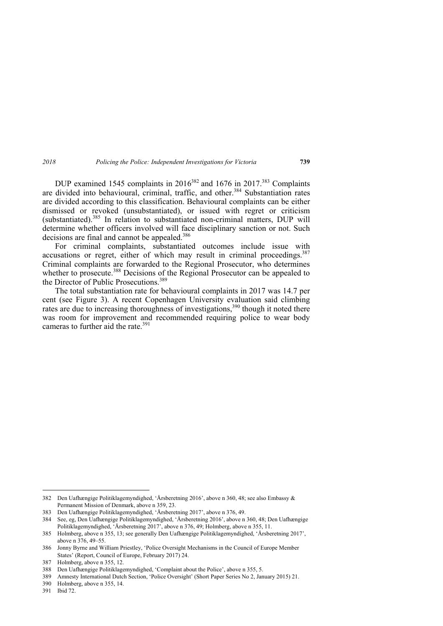DUP examined 1545 complaints in  $2016^{382}$  and 1676 in 2017.<sup>383</sup> Complaints are divided into behavioural, criminal, traffic, and other.<sup>384</sup> Substantiation rates are divided according to this classification. Behavioural complaints can be either dismissed or revoked (unsubstantiated), or issued with regret or criticism (substantiated).385 In relation to substantiated non-criminal matters, DUP will determine whether officers involved will face disciplinary sanction or not. Such decisions are final and cannot be appealed.<sup>386</sup>

For criminal complaints, substantiated outcomes include issue with accusations or regret, either of which may result in criminal proceedings.  $387$ Criminal complaints are forwarded to the Regional Prosecutor, who determines whether to prosecute.<sup>388</sup> Decisions of the Regional Prosecutor can be appealed to the Director of Public Prosecutions<sup>389</sup>

The total substantiation rate for behavioural complaints in 2017 was 14.7 per cent (see Figure 3). A recent Copenhagen University evaluation said climbing rates are due to increasing thoroughness of investigations,<sup>390</sup> though it noted there was room for improvement and recommended requiring police to wear body cameras to further aid the rate <sup>391</sup>

<sup>382</sup> Den Uafhængige Politiklagemyndighed, 'Årsberetning 2016', above n 360, 48; see also Embassy & Permanent Mission of Denmark, above n 359, 23.

<sup>383</sup> Den Uafhængige Politiklagemyndighed, 'Årsberetning 2017', above n 376, 49.

<sup>384</sup> See, eg, Den Uafhængige Politiklagemyndighed, 'Årsberetning 2016', above n 360, 48; Den Uafhængige Politiklagemyndighed, 'Årsberetning 2017', above n 376, 49; Holmberg, above n 355, 11.

<sup>385</sup> Holmberg, above n 355, 13; see generally Den Uafhængige Politiklagemyndighed, 'Årsberetning 2017', above n 376, 49–55.

<sup>386</sup> Jonny Byrne and William Priestley, 'Police Oversight Mechanisms in the Council of Europe Member States' (Report, Council of Europe, February 2017) 24.

<sup>387</sup> Holmberg, above n 355, 12.

<sup>388</sup> Den Uafhængige Politiklagemyndighed, 'Complaint about the Police', above n 355, 5.

<sup>389</sup> Amnesty International Dutch Section, 'Police Oversight' (Short Paper Series No 2, January 2015) 21.

<sup>390</sup> Holmberg, above n 355, 14.

<sup>391</sup> Ibid 72.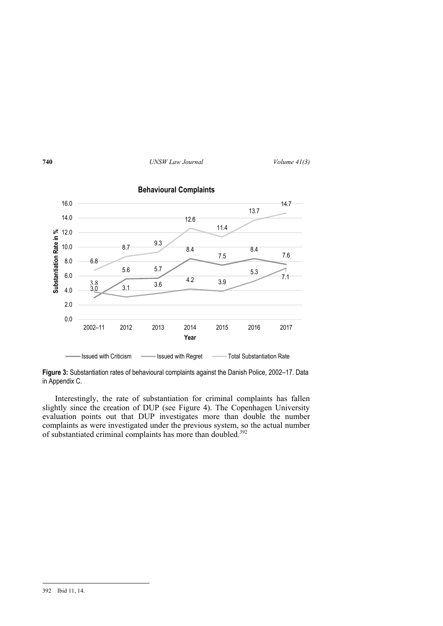

**Figure 3:** Substantiation rates of behavioural complaints against the Danish Police, 2002–17. Data in Appendix C.

Interestingly, the rate of substantiation for criminal complaints has fallen slightly since the creation of DUP (see Figure 4). The Copenhagen University evaluation points out that DUP investigates more than double the number complaints as were investigated under the previous system, so the actual number of substantiated criminal complaints has more than doubled.<sup>392</sup>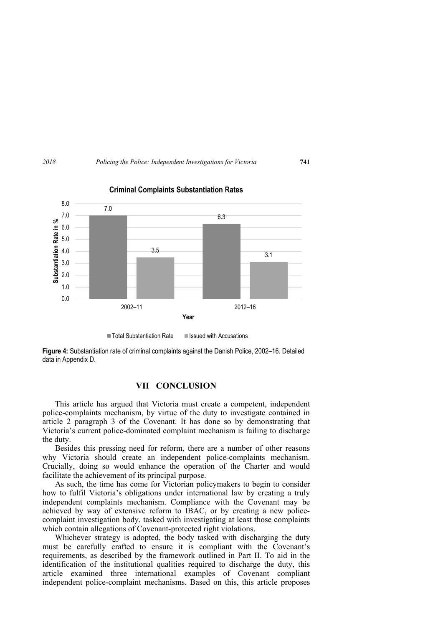

**Criminal Complaints Substantiation Rates**

**Figure 4:** Substantiation rate of criminal complaints against the Danish Police, 2002–16. Detailed data in Appendix D.

## **VII CONCLUSION**

This article has argued that Victoria must create a competent, independent police-complaints mechanism, by virtue of the duty to investigate contained in article 2 paragraph 3 of the Covenant. It has done so by demonstrating that Victoria's current police-dominated complaint mechanism is failing to discharge the duty.

Besides this pressing need for reform, there are a number of other reasons why Victoria should create an independent police-complaints mechanism. Crucially, doing so would enhance the operation of the Charter and would facilitate the achievement of its principal purpose.

As such, the time has come for Victorian policymakers to begin to consider how to fulfil Victoria's obligations under international law by creating a truly independent complaints mechanism. Compliance with the Covenant may be achieved by way of extensive reform to IBAC, or by creating a new policecomplaint investigation body, tasked with investigating at least those complaints which contain allegations of Covenant-protected right violations.

Whichever strategy is adopted, the body tasked with discharging the duty must be carefully crafted to ensure it is compliant with the Covenant's requirements, as described by the framework outlined in Part II. To aid in the identification of the institutional qualities required to discharge the duty, this article examined three international examples of Covenant compliant independent police-complaint mechanisms. Based on this, this article proposes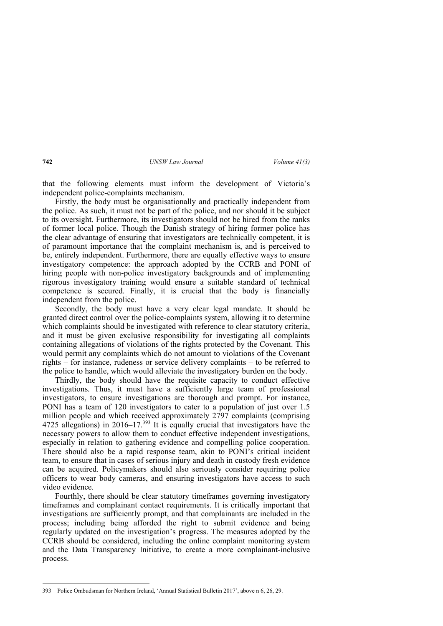that the following elements must inform the development of Victoria's independent police-complaints mechanism.

Firstly, the body must be organisationally and practically independent from the police. As such, it must not be part of the police, and nor should it be subject to its oversight. Furthermore, its investigators should not be hired from the ranks of former local police. Though the Danish strategy of hiring former police has the clear advantage of ensuring that investigators are technically competent, it is of paramount importance that the complaint mechanism is, and is perceived to be, entirely independent. Furthermore, there are equally effective ways to ensure investigatory competence: the approach adopted by the CCRB and PONI of hiring people with non-police investigatory backgrounds and of implementing rigorous investigatory training would ensure a suitable standard of technical competence is secured. Finally, it is crucial that the body is financially independent from the police.

Secondly, the body must have a very clear legal mandate. It should be granted direct control over the police-complaints system, allowing it to determine which complaints should be investigated with reference to clear statutory criteria, and it must be given exclusive responsibility for investigating all complaints containing allegations of violations of the rights protected by the Covenant. This would permit any complaints which do not amount to violations of the Covenant rights – for instance, rudeness or service delivery complaints – to be referred to the police to handle, which would alleviate the investigatory burden on the body.

Thirdly, the body should have the requisite capacity to conduct effective investigations. Thus, it must have a sufficiently large team of professional investigators, to ensure investigations are thorough and prompt. For instance, PONI has a team of 120 investigators to cater to a population of just over 1.5 million people and which received approximately 2797 complaints (comprising 4725 allegations) in 2016–17.<sup>393</sup> It is equally crucial that investigators have the necessary powers to allow them to conduct effective independent investigations, especially in relation to gathering evidence and compelling police cooperation. There should also be a rapid response team, akin to PONI's critical incident team, to ensure that in cases of serious injury and death in custody fresh evidence can be acquired. Policymakers should also seriously consider requiring police officers to wear body cameras, and ensuring investigators have access to such video evidence.

Fourthly, there should be clear statutory timeframes governing investigatory timeframes and complainant contact requirements. It is critically important that investigations are sufficiently prompt, and that complainants are included in the process; including being afforded the right to submit evidence and being regularly updated on the investigation's progress. The measures adopted by the CCRB should be considered, including the online complaint monitoring system and the Data Transparency Initiative, to create a more complainant-inclusive process.

<sup>393</sup> Police Ombudsman for Northern Ireland, 'Annual Statistical Bulletin 2017', above n 6, 26, 29.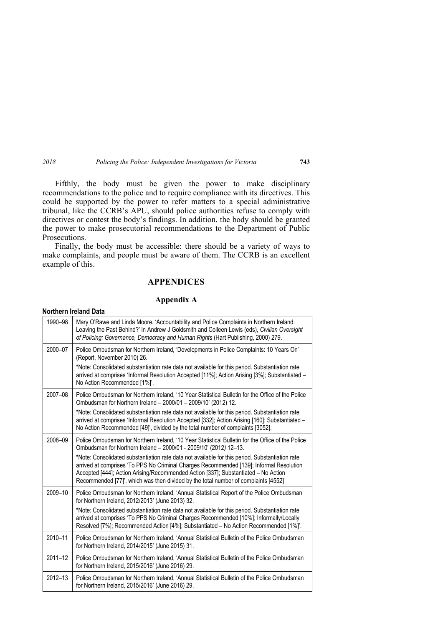Fifthly, the body must be given the power to make disciplinary recommendations to the police and to require compliance with its directives. This could be supported by the power to refer matters to a special administrative tribunal, like the CCRB's APU, should police authorities refuse to comply with directives or contest the body's findings. In addition, the body should be granted the power to make prosecutorial recommendations to the Department of Public Prosecutions.

Finally, the body must be accessible: there should be a variety of ways to make complaints, and people must be aware of them. The CCRB is an excellent example of this.

## **APPENDICES**

#### **Appendix A**

## **Northern Ireland Data**

| 1990-98     | Mary O'Rawe and Linda Moore, 'Accountability and Police Complaints in Northern Ireland:<br>Leaving the Past Behind?' in Andrew J Goldsmith and Colleen Lewis (eds), Civilian Oversight<br>of Policing: Governance, Democracy and Human Rights (Hart Publishing, 2000) 279.                                                                                             |
|-------------|------------------------------------------------------------------------------------------------------------------------------------------------------------------------------------------------------------------------------------------------------------------------------------------------------------------------------------------------------------------------|
| 2000-07     | Police Ombudsman for Northern Ireland, 'Developments in Police Complaints: 10 Years On'<br>(Report, November 2010) 26.<br>*Note: Consolidated substantiation rate data not available for this period. Substantiation rate<br>arrived at comprises 'Informal Resolution Accepted [11%]; Action Arising [3%]; Substantiated -                                            |
|             | No Action Recommended [1%]'.                                                                                                                                                                                                                                                                                                                                           |
| 2007-08     | Police Ombudsman for Northern Ireland, '10 Year Statistical Bulletin for the Office of the Police<br>Ombudsman for Northern Ireland - 2000/01 - 2009/10' (2012) 12.                                                                                                                                                                                                    |
|             | *Note: Consolidated substantiation rate data not available for this period. Substantiation rate<br>arrived at comprises 'Informal Resolution Accepted [332]; Action Arising [160]; Substantiated -<br>No Action Recommended [49]', divided by the total number of complaints [3052].                                                                                   |
| 2008-09     | Police Ombudsman for Northern Ireland, '10 Year Statistical Bulletin for the Office of the Police<br>Ombudsman for Northern Ireland - 2000/01 - 2009/10' (2012) 12-13.                                                                                                                                                                                                 |
|             | *Note: Consolidated substantiation rate data not available for this period. Substantiation rate<br>arrived at comprises 'To PPS No Criminal Charges Recommended [139]; Informal Resolution<br>Accepted [444]; Action Arising/Recommended Action [337]; Substantiated - No Action<br>Recommended [77]', which was then divided by the total number of complaints [4552] |
| 2009-10     | Police Ombudsman for Northern Ireland, 'Annual Statistical Report of the Police Ombudsman<br>for Northern Ireland, 2012/2013' (June 2013) 32.                                                                                                                                                                                                                          |
|             | *Note: Consolidated substantiation rate data not available for this period. Substantiation rate<br>arrived at comprises 'To PPS No Criminal Charges Recommended [10%]; Informally/Locally<br>Resolved [7%]; Recommended Action [4%]; Substantiated - No Action Recommended [1%]'.                                                                                      |
| 2010-11     | Police Ombudsman for Northern Ireland, 'Annual Statistical Bulletin of the Police Ombudsman<br>for Northern Ireland, 2014/2015' (June 2015) 31.                                                                                                                                                                                                                        |
| $2011 - 12$ | Police Ombudsman for Northern Ireland, 'Annual Statistical Bulletin of the Police Ombudsman<br>for Northern Ireland, 2015/2016' (June 2016) 29.                                                                                                                                                                                                                        |
| $2012 - 13$ | Police Ombudsman for Northern Ireland, 'Annual Statistical Bulletin of the Police Ombudsman<br>for Northern Ireland, 2015/2016' (June 2016) 29.                                                                                                                                                                                                                        |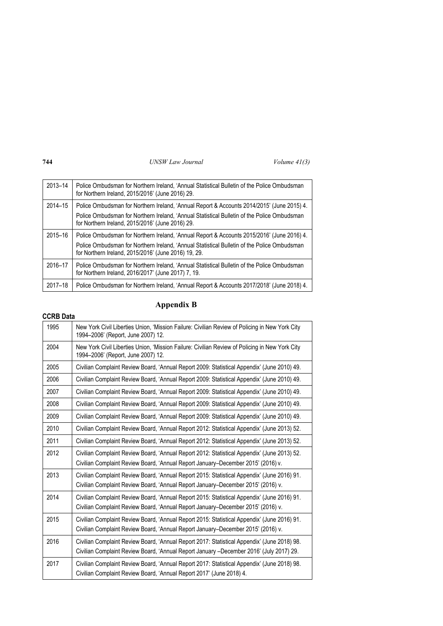| 2013-14     | Police Ombudsman for Northern Ireland, 'Annual Statistical Bulletin of the Police Ombudsman<br>for Northern Ireland, 2015/2016' (June 2016) 29.     |
|-------------|-----------------------------------------------------------------------------------------------------------------------------------------------------|
| 2014-15     | Police Ombudsman for Northern Ireland, 'Annual Report & Accounts 2014/2015' (June 2015) 4.                                                          |
|             | Police Ombudsman for Northern Ireland, 'Annual Statistical Bulletin of the Police Ombudsman<br>for Northern Ireland, 2015/2016' (June 2016) 29.     |
| 2015-16     | Police Ombudsman for Northern Ireland, 'Annual Report & Accounts 2015/2016' (June 2016) 4.                                                          |
|             | Police Ombudsman for Northern Ireland, 'Annual Statistical Bulletin of the Police Ombudsman<br>for Northern Ireland, 2015/2016' (June 2016) 19, 29. |
| 2016-17     | Police Ombudsman for Northern Ireland, 'Annual Statistical Bulletin of the Police Ombudsman<br>for Northern Ireland, 2016/2017' (June 2017) 7, 19.  |
| $2017 - 18$ | Police Ombudsman for Northern Ireland, 'Annual Report & Accounts 2017/2018' (June 2018) 4.                                                          |

# **Appendix B**

# **CCRB Data**

| 1995 | New York Civil Liberties Union, 'Mission Failure: Civilian Review of Policing in New York City<br>1994–2006' (Report, June 2007) 12. |
|------|--------------------------------------------------------------------------------------------------------------------------------------|
| 2004 | New York Civil Liberties Union, 'Mission Failure: Civilian Review of Policing in New York City<br>1994–2006' (Report, June 2007) 12. |
| 2005 | Civilian Complaint Review Board, 'Annual Report 2009: Statistical Appendix' (June 2010) 49.                                          |
| 2006 | Civilian Complaint Review Board, 'Annual Report 2009: Statistical Appendix' (June 2010) 49.                                          |
| 2007 | Civilian Complaint Review Board, 'Annual Report 2009: Statistical Appendix' (June 2010) 49.                                          |
| 2008 | Civilian Complaint Review Board, 'Annual Report 2009: Statistical Appendix' (June 2010) 49.                                          |
| 2009 | Civilian Complaint Review Board, 'Annual Report 2009: Statistical Appendix' (June 2010) 49.                                          |
| 2010 | Civilian Complaint Review Board, 'Annual Report 2012: Statistical Appendix' (June 2013) 52.                                          |
| 2011 | Civilian Complaint Review Board, 'Annual Report 2012: Statistical Appendix' (June 2013) 52.                                          |
| 2012 | Civilian Complaint Review Board, 'Annual Report 2012: Statistical Appendix' (June 2013) 52.                                          |
|      | Civilian Complaint Review Board, 'Annual Report January-December 2015' (2016) v.                                                     |
| 2013 | Civilian Complaint Review Board, 'Annual Report 2015: Statistical Appendix' (June 2016) 91.                                          |
|      | Civilian Complaint Review Board, 'Annual Report January–December 2015' (2016) v.                                                     |
| 2014 | Civilian Complaint Review Board, 'Annual Report 2015: Statistical Appendix' (June 2016) 91.                                          |
|      | Civilian Complaint Review Board, 'Annual Report January–December 2015' (2016) v.                                                     |
| 2015 | Civilian Complaint Review Board, 'Annual Report 2015: Statistical Appendix' (June 2016) 91.                                          |
|      | Civilian Complaint Review Board, 'Annual Report January–December 2015' (2016) v.                                                     |
| 2016 | Civilian Complaint Review Board, 'Annual Report 2017: Statistical Appendix' (June 2018) 98.                                          |
|      | Civilian Complaint Review Board, 'Annual Report January -December 2016' (July 2017) 29.                                              |
| 2017 | Civilian Complaint Review Board, 'Annual Report 2017: Statistical Appendix' (June 2018) 98.                                          |
|      | Civilian Complaint Review Board, 'Annual Report 2017' (June 2018) 4.                                                                 |